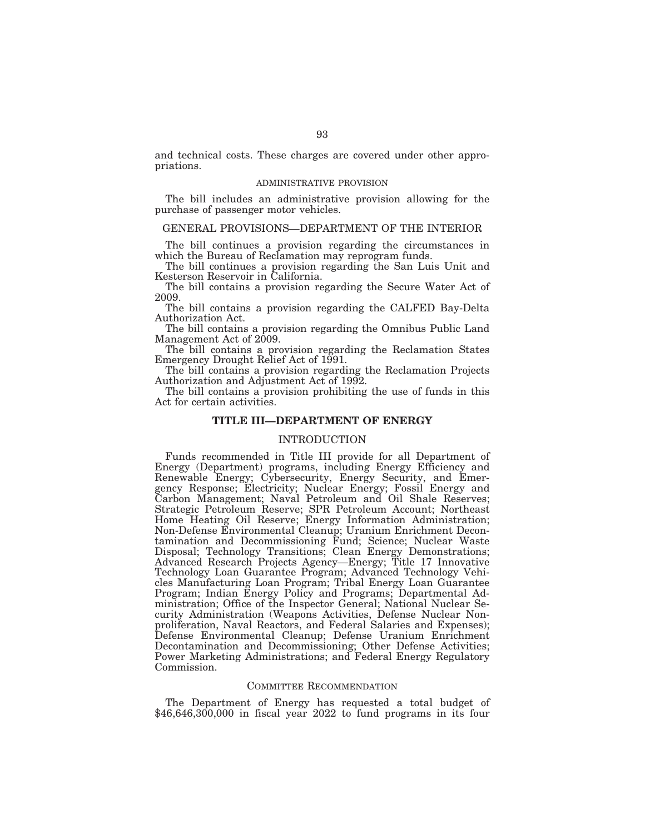and technical costs. These charges are covered under other appropriations.

#### ADMINISTRATIVE PROVISION

The bill includes an administrative provision allowing for the purchase of passenger motor vehicles.

# GENERAL PROVISIONS—DEPARTMENT OF THE INTERIOR

The bill continues a provision regarding the circumstances in which the Bureau of Reclamation may reprogram funds.

The bill continues a provision regarding the San Luis Unit and Kesterson Reservoir in California.

The bill contains a provision regarding the Secure Water Act of 2009.

The bill contains a provision regarding the CALFED Bay-Delta Authorization Act.

The bill contains a provision regarding the Omnibus Public Land Management Act of  $2009$ .

The bill contains a provision regarding the Reclamation States Emergency Drought Relief Act of 1991.

The bill contains a provision regarding the Reclamation Projects Authorization and Adjustment Act of 1992.

The bill contains a provision prohibiting the use of funds in this Act for certain activities.

## **TITLE III—DEPARTMENT OF ENERGY**

# INTRODUCTION

Funds recommended in Title III provide for all Department of Energy (Department) programs, including Energy Efficiency and Renewable Energy; Cybersecurity, Energy Security, and Emergency Response; Electricity; Nuclear Energy; Fossil Energy and Carbon Management; Naval Petroleum and Oil Shale Reserves; Strategic Petroleum Reserve; SPR Petroleum Account; Northeast Home Heating Oil Reserve; Energy Information Administration; Non-Defense Environmental Cleanup; Uranium Enrichment Decontamination and Decommissioning Fund; Science; Nuclear Waste Disposal; Technology Transitions; Clean Energy Demonstrations; Advanced Research Projects Agency—Energy; Title 17 Innovative Technology Loan Guarantee Program; Advanced Technology Vehicles Manufacturing Loan Program; Tribal Energy Loan Guarantee Program; Indian Energy Policy and Programs; Departmental Administration; Office of the Inspector General; National Nuclear Security Administration (Weapons Activities, Defense Nuclear Nonproliferation, Naval Reactors, and Federal Salaries and Expenses); Defense Environmental Cleanup; Defense Uranium Enrichment Decontamination and Decommissioning; Other Defense Activities; Power Marketing Administrations; and Federal Energy Regulatory Commission.

## COMMITTEE RECOMMENDATION

The Department of Energy has requested a total budget of  $$46,646,300,000$  in fiscal year 2022 to fund programs in its four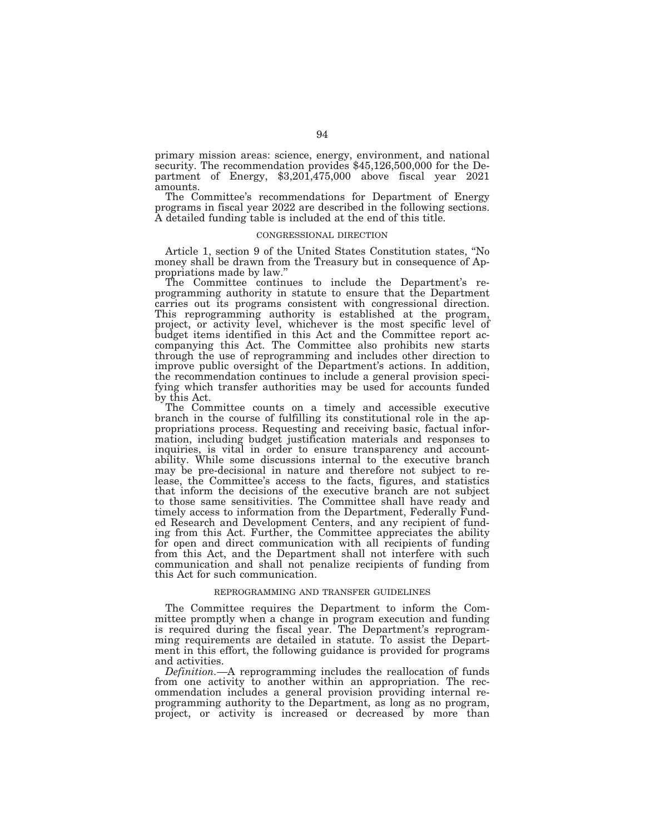primary mission areas: science, energy, environment, and national security. The recommendation provides \$45,126,500,000 for the Department of Energy, \$3,201,475,000 above fiscal year 2021 amounts.

The Committee's recommendations for Department of Energy programs in fiscal year 2022 are described in the following sections. A detailed funding table is included at the end of this title.

#### CONGRESSIONAL DIRECTION

Article 1, section 9 of the United States Constitution states, ''No money shall be drawn from the Treasury but in consequence of Appropriations made by law.''

The Committee continues to include the Department's reprogramming authority in statute to ensure that the Department carries out its programs consistent with congressional direction. This reprogramming authority is established at the program, project, or activity level, whichever is the most specific level of budget items identified in this Act and the Committee report accompanying this Act. The Committee also prohibits new starts through the use of reprogramming and includes other direction to improve public oversight of the Department's actions. In addition, the recommendation continues to include a general provision specifying which transfer authorities may be used for accounts funded by this Act.

The Committee counts on a timely and accessible executive branch in the course of fulfilling its constitutional role in the appropriations process. Requesting and receiving basic, factual information, including budget justification materials and responses to inquiries, is vital in order to ensure transparency and accountability. While some discussions internal to the executive branch may be pre-decisional in nature and therefore not subject to release, the Committee's access to the facts, figures, and statistics that inform the decisions of the executive branch are not subject to those same sensitivities. The Committee shall have ready and timely access to information from the Department, Federally Funded Research and Development Centers, and any recipient of funding from this Act. Further, the Committee appreciates the ability for open and direct communication with all recipients of funding from this Act, and the Department shall not interfere with such communication and shall not penalize recipients of funding from this Act for such communication.

#### REPROGRAMMING AND TRANSFER GUIDELINES

The Committee requires the Department to inform the Committee promptly when a change in program execution and funding is required during the fiscal year. The Department's reprogramming requirements are detailed in statute. To assist the Department in this effort, the following guidance is provided for programs and activities.

*Definition.*—A reprogramming includes the reallocation of funds from one activity to another within an appropriation. The recommendation includes a general provision providing internal reprogramming authority to the Department, as long as no program, project, or activity is increased or decreased by more than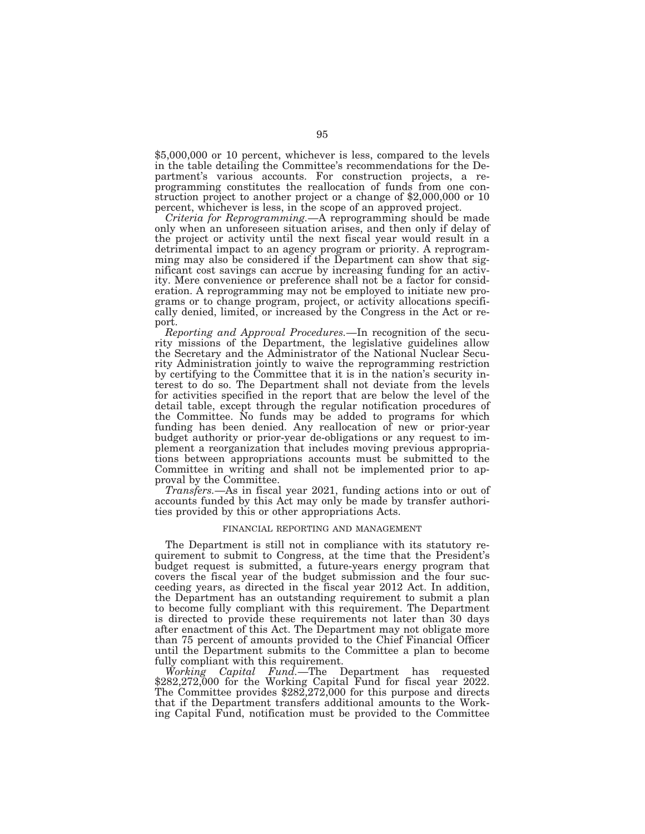\$5,000,000 or 10 percent, whichever is less, compared to the levels in the table detailing the Committee's recommendations for the Department's various accounts. For construction projects, a reprogramming constitutes the reallocation of funds from one construction project to another project or a change of \$2,000,000 or 10 percent, whichever is less, in the scope of an approved project.

*Criteria for Reprogramming.*—A reprogramming should be made only when an unforeseen situation arises, and then only if delay of the project or activity until the next fiscal year would result in a detrimental impact to an agency program or priority. A reprogramming may also be considered if the Department can show that significant cost savings can accrue by increasing funding for an activity. Mere convenience or preference shall not be a factor for consideration. A reprogramming may not be employed to initiate new programs or to change program, project, or activity allocations specifically denied, limited, or increased by the Congress in the Act or report.

*Reporting and Approval Procedures.*—In recognition of the security missions of the Department, the legislative guidelines allow the Secretary and the Administrator of the National Nuclear Security Administration jointly to waive the reprogramming restriction by certifying to the Committee that it is in the nation's security interest to do so. The Department shall not deviate from the levels for activities specified in the report that are below the level of the detail table, except through the regular notification procedures of the Committee. No funds may be added to programs for which funding has been denied. Any reallocation of new or prior-year budget authority or prior-year de-obligations or any request to implement a reorganization that includes moving previous appropriations between appropriations accounts must be submitted to the Committee in writing and shall not be implemented prior to approval by the Committee.

*Transfers.*—As in fiscal year 2021, funding actions into or out of accounts funded by this Act may only be made by transfer authorities provided by this or other appropriations Acts.

## FINANCIAL REPORTING AND MANAGEMENT

The Department is still not in compliance with its statutory requirement to submit to Congress, at the time that the President's budget request is submitted, a future-years energy program that covers the fiscal year of the budget submission and the four succeeding years, as directed in the fiscal year 2012 Act. In addition, the Department has an outstanding requirement to submit a plan to become fully compliant with this requirement. The Department is directed to provide these requirements not later than 30 days after enactment of this Act. The Department may not obligate more than 75 percent of amounts provided to the Chief Financial Officer until the Department submits to the Committee a plan to become fully compliant with this requirement.

*Working Capital Fund.*—The Department has requested \$282,272,000 for the Working Capital Fund for fiscal year 2022. The Committee provides \$282,272,000 for this purpose and directs that if the Department transfers additional amounts to the Working Capital Fund, notification must be provided to the Committee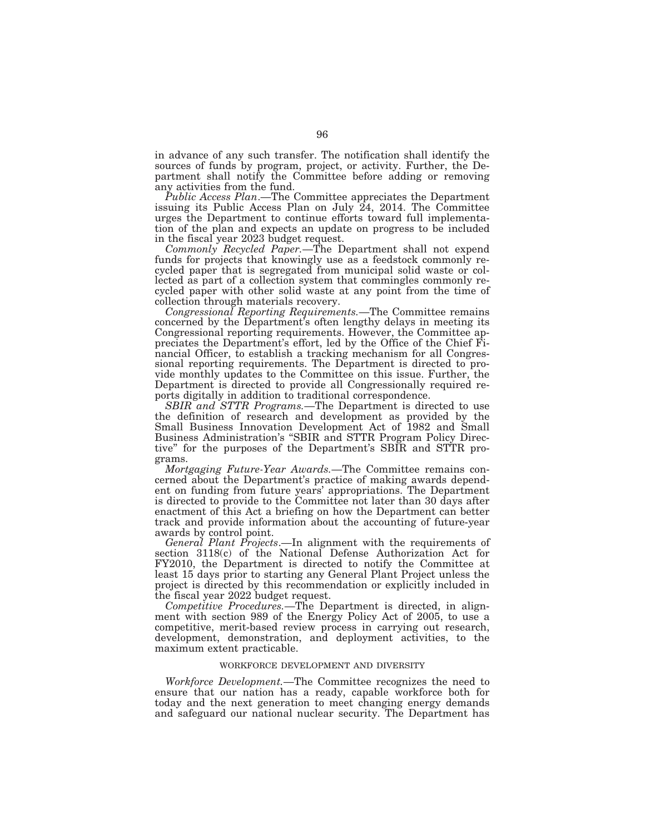in advance of any such transfer. The notification shall identify the sources of funds by program, project, or activity. Further, the Department shall notify the Committee before adding or removing any activities from the fund.

*Public Access Plan*.—The Committee appreciates the Department issuing its Public Access Plan on July 24, 2014. The Committee urges the Department to continue efforts toward full implementation of the plan and expects an update on progress to be included in the fiscal year 2023 budget request.

*Commonly Recycled Paper.*—The Department shall not expend funds for projects that knowingly use as a feedstock commonly recycled paper that is segregated from municipal solid waste or collected as part of a collection system that commingles commonly recycled paper with other solid waste at any point from the time of collection through materials recovery.

*Congressional Reporting Requirements.*—The Committee remains concerned by the Department's often lengthy delays in meeting its Congressional reporting requirements. However, the Committee appreciates the Department's effort, led by the Office of the Chief Financial Officer, to establish a tracking mechanism for all Congressional reporting requirements. The Department is directed to provide monthly updates to the Committee on this issue. Further, the Department is directed to provide all Congressionally required reports digitally in addition to traditional correspondence.

*SBIR and STTR Programs.*—The Department is directed to use the definition of research and development as provided by the Small Business Innovation Development Act of 1982 and Small Business Administration's ''SBIR and STTR Program Policy Directive'' for the purposes of the Department's SBIR and STTR programs.

*Mortgaging Future-Year Awards.*—The Committee remains concerned about the Department's practice of making awards dependent on funding from future years' appropriations. The Department is directed to provide to the Committee not later than 30 days after enactment of this Act a briefing on how the Department can better track and provide information about the accounting of future-year awards by control point.

*General Plant Projects*.—In alignment with the requirements of section 3118(c) of the National Defense Authorization Act for FY2010, the Department is directed to notify the Committee at least 15 days prior to starting any General Plant Project unless the project is directed by this recommendation or explicitly included in the fiscal year 2022 budget request.

*Competitive Procedures.*—The Department is directed, in alignment with section 989 of the Energy Policy Act of 2005, to use a competitive, merit-based review process in carrying out research, development, demonstration, and deployment activities, to the maximum extent practicable.

## WORKFORCE DEVELOPMENT AND DIVERSITY

*Workforce Development.*—The Committee recognizes the need to ensure that our nation has a ready, capable workforce both for today and the next generation to meet changing energy demands and safeguard our national nuclear security. The Department has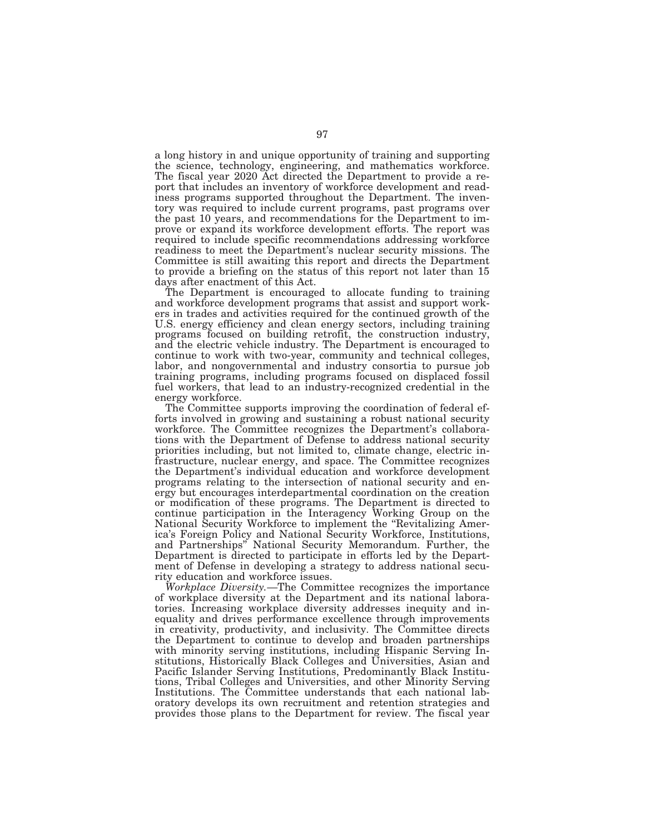a long history in and unique opportunity of training and supporting the science, technology, engineering, and mathematics workforce. The fiscal year 2020 Act directed the Department to provide a report that includes an inventory of workforce development and readiness programs supported throughout the Department. The inventory was required to include current programs, past programs over the past 10 years, and recommendations for the Department to improve or expand its workforce development efforts. The report was required to include specific recommendations addressing workforce readiness to meet the Department's nuclear security missions. The Committee is still awaiting this report and directs the Department to provide a briefing on the status of this report not later than 15 days after enactment of this Act.

The Department is encouraged to allocate funding to training and workforce development programs that assist and support workers in trades and activities required for the continued growth of the U.S. energy efficiency and clean energy sectors, including training programs focused on building retrofit, the construction industry, and the electric vehicle industry. The Department is encouraged to continue to work with two-year, community and technical colleges, labor, and nongovernmental and industry consortia to pursue job training programs, including programs focused on displaced fossil fuel workers, that lead to an industry-recognized credential in the energy workforce.

The Committee supports improving the coordination of federal efforts involved in growing and sustaining a robust national security workforce. The Committee recognizes the Department's collaborations with the Department of Defense to address national security priorities including, but not limited to, climate change, electric infrastructure, nuclear energy, and space. The Committee recognizes the Department's individual education and workforce development programs relating to the intersection of national security and energy but encourages interdepartmental coordination on the creation or modification of these programs. The Department is directed to continue participation in the Interagency Working Group on the National Security Workforce to implement the ''Revitalizing America's Foreign Policy and National Security Workforce, Institutions, and Partnerships'' National Security Memorandum. Further, the Department is directed to participate in efforts led by the Department of Defense in developing a strategy to address national security education and workforce issues.

*Workplace Diversity.*—The Committee recognizes the importance of workplace diversity at the Department and its national laboratories. Increasing workplace diversity addresses inequity and inequality and drives performance excellence through improvements in creativity, productivity, and inclusivity. The Committee directs the Department to continue to develop and broaden partnerships with minority serving institutions, including Hispanic Serving Institutions, Historically Black Colleges and Universities, Asian and Pacific Islander Serving Institutions, Predominantly Black Institutions, Tribal Colleges and Universities, and other Minority Serving Institutions. The Committee understands that each national laboratory develops its own recruitment and retention strategies and provides those plans to the Department for review. The fiscal year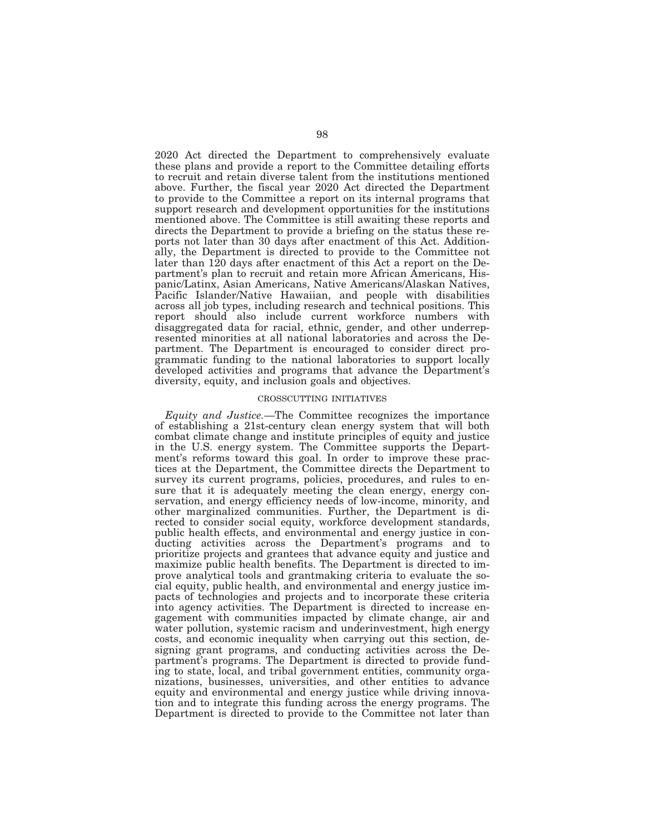2020 Act directed the Department to comprehensively evaluate these plans and provide a report to the Committee detailing efforts to recruit and retain diverse talent from the institutions mentioned above. Further, the fiscal year 2020 Act directed the Department to provide to the Committee a report on its internal programs that support research and development opportunities for the institutions mentioned above. The Committee is still awaiting these reports and directs the Department to provide a briefing on the status these reports not later than 30 days after enactment of this Act. Additionally, the Department is directed to provide to the Committee not later than 120 days after enactment of this Act a report on the Department's plan to recruit and retain more African Americans, Hispanic/Latinx, Asian Americans, Native Americans/Alaskan Natives, Pacific Islander/Native Hawaiian, and people with disabilities across all job types, including research and technical positions. This report should also include current workforce numbers with disaggregated data for racial, ethnic, gender, and other underrepresented minorities at all national laboratories and across the Department. The Department is encouraged to consider direct programmatic funding to the national laboratories to support locally developed activities and programs that advance the Department's diversity, equity, and inclusion goals and objectives.

#### CROSSCUTTING INITIATIVES

*Equity and Justice.*—The Committee recognizes the importance of establishing a 21st-century clean energy system that will both combat climate change and institute principles of equity and justice in the U.S. energy system. The Committee supports the Department's reforms toward this goal. In order to improve these practices at the Department, the Committee directs the Department to survey its current programs, policies, procedures, and rules to ensure that it is adequately meeting the clean energy, energy conservation, and energy efficiency needs of low-income, minority, and other marginalized communities. Further, the Department is directed to consider social equity, workforce development standards, public health effects, and environmental and energy justice in conducting activities across the Department's programs and to prioritize projects and grantees that advance equity and justice and maximize public health benefits. The Department is directed to improve analytical tools and grantmaking criteria to evaluate the social equity, public health, and environmental and energy justice impacts of technologies and projects and to incorporate these criteria into agency activities. The Department is directed to increase engagement with communities impacted by climate change, air and water pollution, systemic racism and underinvestment, high energy costs, and economic inequality when carrying out this section, designing grant programs, and conducting activities across the Department's programs. The Department is directed to provide funding to state, local, and tribal government entities, community organizations, businesses, universities, and other entities to advance equity and environmental and energy justice while driving innovation and to integrate this funding across the energy programs. The Department is directed to provide to the Committee not later than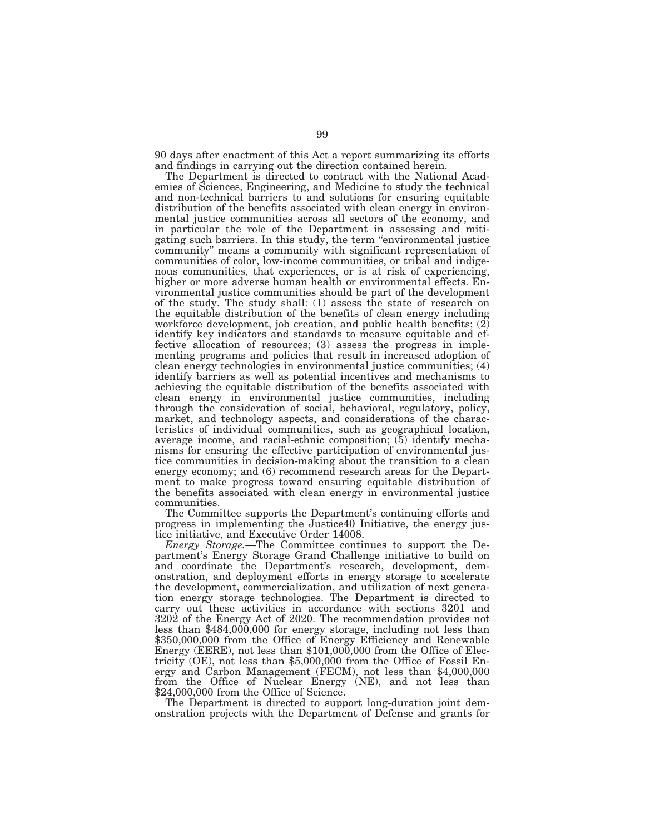90 days after enactment of this Act a report summarizing its efforts and findings in carrying out the direction contained herein.

The Department is directed to contract with the National Academies of Sciences, Engineering, and Medicine to study the technical and non-technical barriers to and solutions for ensuring equitable distribution of the benefits associated with clean energy in environmental justice communities across all sectors of the economy, and in particular the role of the Department in assessing and mitigating such barriers. In this study, the term ''environmental justice community'' means a community with significant representation of communities of color, low-income communities, or tribal and indigenous communities, that experiences, or is at risk of experiencing, higher or more adverse human health or environmental effects. Environmental justice communities should be part of the development of the study. The study shall: (1) assess the state of research on the equitable distribution of the benefits of clean energy including workforce development, job creation, and public health benefits; (2) identify key indicators and standards to measure equitable and effective allocation of resources; (3) assess the progress in implementing programs and policies that result in increased adoption of clean energy technologies in environmental justice communities; (4) identify barriers as well as potential incentives and mechanisms to achieving the equitable distribution of the benefits associated with clean energy in environmental justice communities, including through the consideration of social, behavioral, regulatory, policy, market, and technology aspects, and considerations of the characteristics of individual communities, such as geographical location, average income, and racial-ethnic composition;  $(5)$  identify mechanisms for ensuring the effective participation of environmental justice communities in decision-making about the transition to a clean energy economy; and (6) recommend research areas for the Department to make progress toward ensuring equitable distribution of the benefits associated with clean energy in environmental justice communities.

The Committee supports the Department's continuing efforts and progress in implementing the Justice40 Initiative, the energy justice initiative, and Executive Order 14008.

*Energy Storage.*—The Committee continues to support the Department's Energy Storage Grand Challenge initiative to build on and coordinate the Department's research, development, demonstration, and deployment efforts in energy storage to accelerate the development, commercialization, and utilization of next generation energy storage technologies. The Department is directed to carry out these activities in accordance with sections 3201 and 3202 of the Energy Act of 2020. The recommendation provides not less than \$484,000,000 for energy storage, including not less than \$350,000,000 from the Office of Energy Efficiency and Renewable Energy (EERE), not less than \$101,000,000 from the Office of Electricity (OE), not less than \$5,000,000 from the Office of Fossil Energy and Carbon Management (FECM), not less than \$4,000,000 from the Office of Nuclear Energy (NE), and not less than \$24,000,000 from the Office of Science.

The Department is directed to support long-duration joint demonstration projects with the Department of Defense and grants for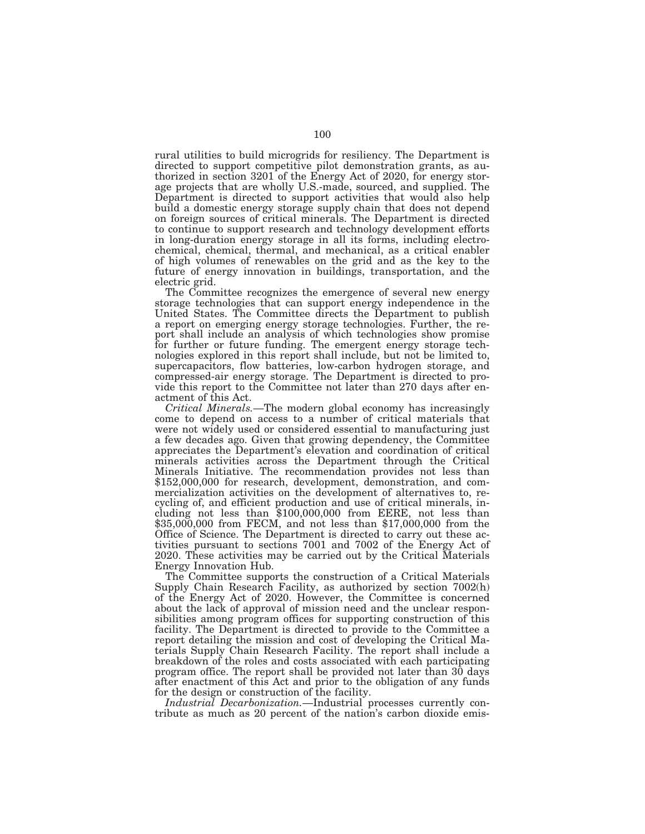rural utilities to build microgrids for resiliency. The Department is directed to support competitive pilot demonstration grants, as authorized in section 3201 of the Energy Act of 2020, for energy storage projects that are wholly U.S.-made, sourced, and supplied. The Department is directed to support activities that would also help build a domestic energy storage supply chain that does not depend on foreign sources of critical minerals. The Department is directed to continue to support research and technology development efforts in long-duration energy storage in all its forms, including electrochemical, chemical, thermal, and mechanical, as a critical enabler of high volumes of renewables on the grid and as the key to the future of energy innovation in buildings, transportation, and the electric grid.

The Committee recognizes the emergence of several new energy storage technologies that can support energy independence in the United States. The Committee directs the Department to publish a report on emerging energy storage technologies. Further, the report shall include an analysis of which technologies show promise for further or future funding. The emergent energy storage technologies explored in this report shall include, but not be limited to, supercapacitors, flow batteries, low-carbon hydrogen storage, and compressed-air energy storage. The Department is directed to provide this report to the Committee not later than 270 days after enactment of this Act.

*Critical Minerals.*—The modern global economy has increasingly come to depend on access to a number of critical materials that were not widely used or considered essential to manufacturing just a few decades ago. Given that growing dependency, the Committee appreciates the Department's elevation and coordination of critical minerals activities across the Department through the Critical Minerals Initiative. The recommendation provides not less than \$152,000,000 for research, development, demonstration, and commercialization activities on the development of alternatives to, recycling of, and efficient production and use of critical minerals, including not less than \$100,000,000 from EERE, not less than \$35,000,000 from FECM, and not less than \$17,000,000 from the Office of Science. The Department is directed to carry out these activities pursuant to sections 7001 and 7002 of the Energy Act of 2020. These activities may be carried out by the Critical Materials Energy Innovation Hub.

The Committee supports the construction of a Critical Materials Supply Chain Research Facility, as authorized by section 7002(h) of the Energy Act of 2020. However, the Committee is concerned about the lack of approval of mission need and the unclear responsibilities among program offices for supporting construction of this facility. The Department is directed to provide to the Committee a report detailing the mission and cost of developing the Critical Materials Supply Chain Research Facility. The report shall include a breakdown of the roles and costs associated with each participating program office. The report shall be provided not later than 30 days after enactment of this Act and prior to the obligation of any funds for the design or construction of the facility.

*Industrial Decarbonization.*—Industrial processes currently contribute as much as 20 percent of the nation's carbon dioxide emis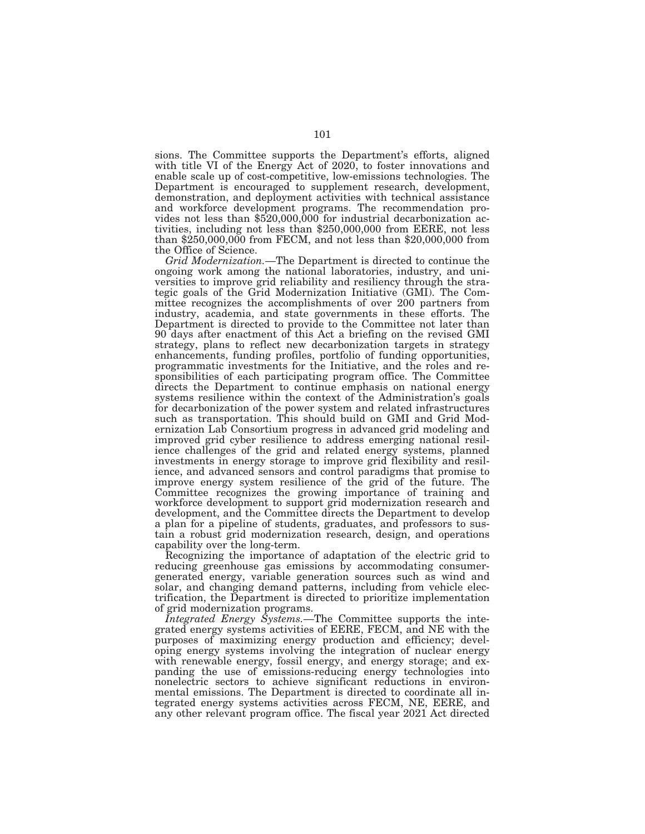sions. The Committee supports the Department's efforts, aligned with title VI of the Energy Act of 2020, to foster innovations and enable scale up of cost-competitive, low-emissions technologies. The Department is encouraged to supplement research, development, demonstration, and deployment activities with technical assistance and workforce development programs. The recommendation provides not less than  $$520,000,000$  for industrial decarbonization activities, including not less than \$250,000,000 from EERE, not less than \$250,000,000 from FECM, and not less than \$20,000,000 from the Office of Science.

*Grid Modernization.*—The Department is directed to continue the ongoing work among the national laboratories, industry, and universities to improve grid reliability and resiliency through the strategic goals of the Grid Modernization Initiative (GMI). The Committee recognizes the accomplishments of over 200 partners from industry, academia, and state governments in these efforts. The Department is directed to provide to the Committee not later than 90 days after enactment of this Act a briefing on the revised GMI strategy, plans to reflect new decarbonization targets in strategy enhancements, funding profiles, portfolio of funding opportunities, programmatic investments for the Initiative, and the roles and responsibilities of each participating program office. The Committee directs the Department to continue emphasis on national energy systems resilience within the context of the Administration's goals for decarbonization of the power system and related infrastructures such as transportation. This should build on GMI and Grid Modernization Lab Consortium progress in advanced grid modeling and improved grid cyber resilience to address emerging national resilience challenges of the grid and related energy systems, planned investments in energy storage to improve grid flexibility and resilience, and advanced sensors and control paradigms that promise to improve energy system resilience of the grid of the future. The Committee recognizes the growing importance of training and workforce development to support grid modernization research and development, and the Committee directs the Department to develop a plan for a pipeline of students, graduates, and professors to sustain a robust grid modernization research, design, and operations capability over the long-term.

Recognizing the importance of adaptation of the electric grid to reducing greenhouse gas emissions by accommodating consumergenerated energy, variable generation sources such as wind and solar, and changing demand patterns, including from vehicle electrification, the Department is directed to prioritize implementation of grid modernization programs.

*Integrated Energy Systems.*—The Committee supports the integrated energy systems activities of EERE, FECM, and NE with the purposes of maximizing energy production and efficiency; developing energy systems involving the integration of nuclear energy with renewable energy, fossil energy, and energy storage; and expanding the use of emissions-reducing energy technologies into nonelectric sectors to achieve significant reductions in environmental emissions. The Department is directed to coordinate all integrated energy systems activities across FECM, NE, EERE, and any other relevant program office. The fiscal year 2021 Act directed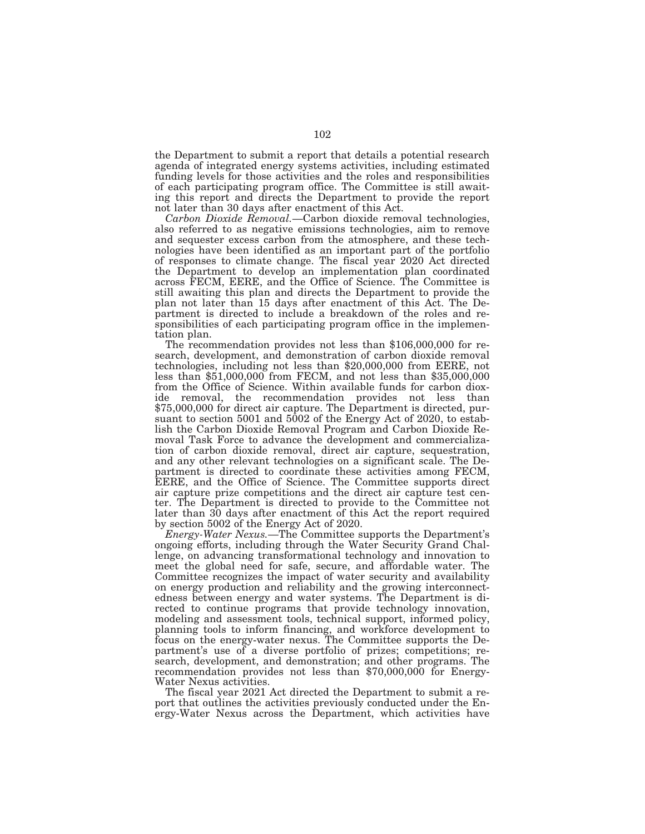the Department to submit a report that details a potential research agenda of integrated energy systems activities, including estimated funding levels for those activities and the roles and responsibilities of each participating program office. The Committee is still awaiting this report and directs the Department to provide the report not later than 30 days after enactment of this Act.

*Carbon Dioxide Removal.*—Carbon dioxide removal technologies, also referred to as negative emissions technologies, aim to remove and sequester excess carbon from the atmosphere, and these technologies have been identified as an important part of the portfolio of responses to climate change. The fiscal year 2020 Act directed the Department to develop an implementation plan coordinated across FECM, EERE, and the Office of Science. The Committee is still awaiting this plan and directs the Department to provide the plan not later than 15 days after enactment of this Act. The Department is directed to include a breakdown of the roles and responsibilities of each participating program office in the implemen-

tation plan. The recommendation provides not less than \$106,000,000 for research, development, and demonstration of carbon dioxide removal technologies, including not less than \$20,000,000 from EERE, not less than \$51,000,000 from FECM, and not less than \$35,000,000 from the Office of Science. Within available funds for carbon dioxide removal, the recommendation provides not less than \$75,000,000 for direct air capture. The Department is directed, pursuant to section 5001 and 5002 of the Energy Act of 2020, to establish the Carbon Dioxide Removal Program and Carbon Dioxide Removal Task Force to advance the development and commercialization of carbon dioxide removal, direct air capture, sequestration, and any other relevant technologies on a significant scale. The Department is directed to coordinate these activities among FECM, EERE, and the Office of Science. The Committee supports direct air capture prize competitions and the direct air capture test center. The Department is directed to provide to the Committee not later than 30 days after enactment of this Act the report required by section 5002 of the Energy Act of 2020.

*Energy-Water Nexus.*—The Committee supports the Department's ongoing efforts, including through the Water Security Grand Challenge, on advancing transformational technology and innovation to meet the global need for safe, secure, and affordable water. The Committee recognizes the impact of water security and availability on energy production and reliability and the growing interconnectedness between energy and water systems. The Department is directed to continue programs that provide technology innovation, modeling and assessment tools, technical support, informed policy, planning tools to inform financing, and workforce development to focus on the energy-water nexus. The Committee supports the Department's use of a diverse portfolio of prizes; competitions; research, development, and demonstration; and other programs. The recommendation provides not less than \$70,000,000 for Energy-Water Nexus activities.

The fiscal year 2021 Act directed the Department to submit a report that outlines the activities previously conducted under the Energy-Water Nexus across the Department, which activities have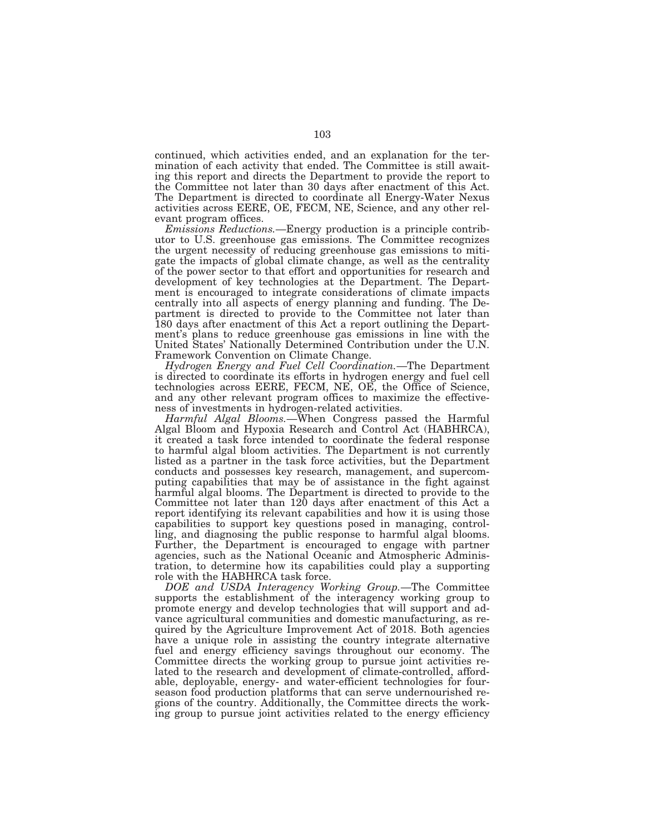continued, which activities ended, and an explanation for the termination of each activity that ended. The Committee is still awaiting this report and directs the Department to provide the report to the Committee not later than 30 days after enactment of this Act. The Department is directed to coordinate all Energy-Water Nexus activities across EERE, OE, FECM, NE, Science, and any other relevant program offices.

*Emissions Reductions.*—Energy production is a principle contributor to U.S. greenhouse gas emissions. The Committee recognizes the urgent necessity of reducing greenhouse gas emissions to mitigate the impacts of global climate change, as well as the centrality of the power sector to that effort and opportunities for research and development of key technologies at the Department. The Department is encouraged to integrate considerations of climate impacts centrally into all aspects of energy planning and funding. The Department is directed to provide to the Committee not later than 180 days after enactment of this Act a report outlining the Department's plans to reduce greenhouse gas emissions in line with the United States' Nationally Determined Contribution under the U.N. Framework Convention on Climate Change.

*Hydrogen Energy and Fuel Cell Coordination.*—The Department is directed to coordinate its efforts in hydrogen energy and fuel cell technologies across EERE, FECM, NE, OE, the Office of Science, and any other relevant program offices to maximize the effectiveness of investments in hydrogen-related activities.

*Harmful Algal Blooms.*—When Congress passed the Harmful Algal Bloom and Hypoxia Research and Control Act (HABHRCA), it created a task force intended to coordinate the federal response to harmful algal bloom activities. The Department is not currently listed as a partner in the task force activities, but the Department conducts and possesses key research, management, and supercomputing capabilities that may be of assistance in the fight against harmful algal blooms. The Department is directed to provide to the Committee not later than 120 days after enactment of this Act a report identifying its relevant capabilities and how it is using those capabilities to support key questions posed in managing, controlling, and diagnosing the public response to harmful algal blooms. Further, the Department is encouraged to engage with partner agencies, such as the National Oceanic and Atmospheric Administration, to determine how its capabilities could play a supporting role with the HABHRCA task force.

*DOE and USDA Interagency Working Group.*—The Committee supports the establishment of the interagency working group to promote energy and develop technologies that will support and advance agricultural communities and domestic manufacturing, as required by the Agriculture Improvement Act of 2018. Both agencies have a unique role in assisting the country integrate alternative fuel and energy efficiency savings throughout our economy. The Committee directs the working group to pursue joint activities related to the research and development of climate-controlled, affordable, deployable, energy- and water-efficient technologies for fourseason food production platforms that can serve undernourished regions of the country. Additionally, the Committee directs the working group to pursue joint activities related to the energy efficiency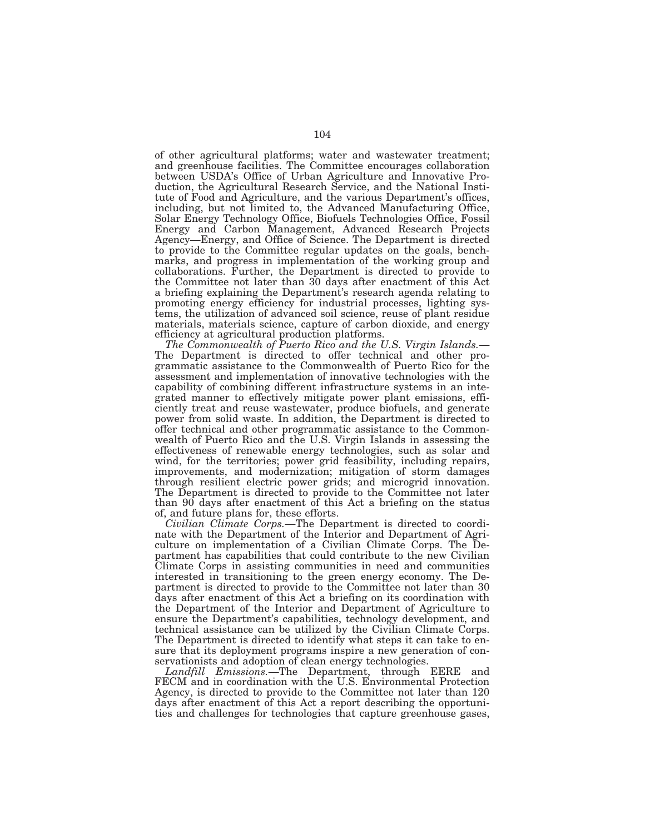of other agricultural platforms; water and wastewater treatment; and greenhouse facilities. The Committee encourages collaboration between USDA's Office of Urban Agriculture and Innovative Production, the Agricultural Research Service, and the National Institute of Food and Agriculture, and the various Department's offices, including, but not limited to, the Advanced Manufacturing Office, Solar Energy Technology Office, Biofuels Technologies Office, Fossil Energy and Carbon Management, Advanced Research Projects Agency—Energy, and Office of Science. The Department is directed to provide to the Committee regular updates on the goals, benchmarks, and progress in implementation of the working group and collaborations. Further, the Department is directed to provide to the Committee not later than 30 days after enactment of this Act a briefing explaining the Department's research agenda relating to promoting energy efficiency for industrial processes, lighting systems, the utilization of advanced soil science, reuse of plant residue materials, materials science, capture of carbon dioxide, and energy

efficiency at agricultural production platforms.<br>The Commonwealth of Puerto Rico and the U.S. Virgin Islands.— The Department is directed to offer technical and other programmatic assistance to the Commonwealth of Puerto Rico for the assessment and implementation of innovative technologies with the capability of combining different infrastructure systems in an integrated manner to effectively mitigate power plant emissions, efficiently treat and reuse wastewater, produce biofuels, and generate power from solid waste. In addition, the Department is directed to offer technical and other programmatic assistance to the Commonwealth of Puerto Rico and the U.S. Virgin Islands in assessing the effectiveness of renewable energy technologies, such as solar and wind, for the territories; power grid feasibility, including repairs, improvements, and modernization; mitigation of storm damages through resilient electric power grids; and microgrid innovation. The Department is directed to provide to the Committee not later than 90 days after enactment of this Act a briefing on the status of, and future plans for, these efforts.

*Civilian Climate Corps.*—The Department is directed to coordinate with the Department of the Interior and Department of Agriculture on implementation of a Civilian Climate Corps. The Department has capabilities that could contribute to the new Civilian Climate Corps in assisting communities in need and communities interested in transitioning to the green energy economy. The Department is directed to provide to the Committee not later than 30 days after enactment of this Act a briefing on its coordination with the Department of the Interior and Department of Agriculture to ensure the Department's capabilities, technology development, and technical assistance can be utilized by the Civilian Climate Corps. The Department is directed to identify what steps it can take to ensure that its deployment programs inspire a new generation of conservationists and adoption of clean energy technologies.

*Landfill Emissions.*—The Department, through EERE and FECM and in coordination with the U.S. Environmental Protection Agency, is directed to provide to the Committee not later than 120 days after enactment of this Act a report describing the opportunities and challenges for technologies that capture greenhouse gases,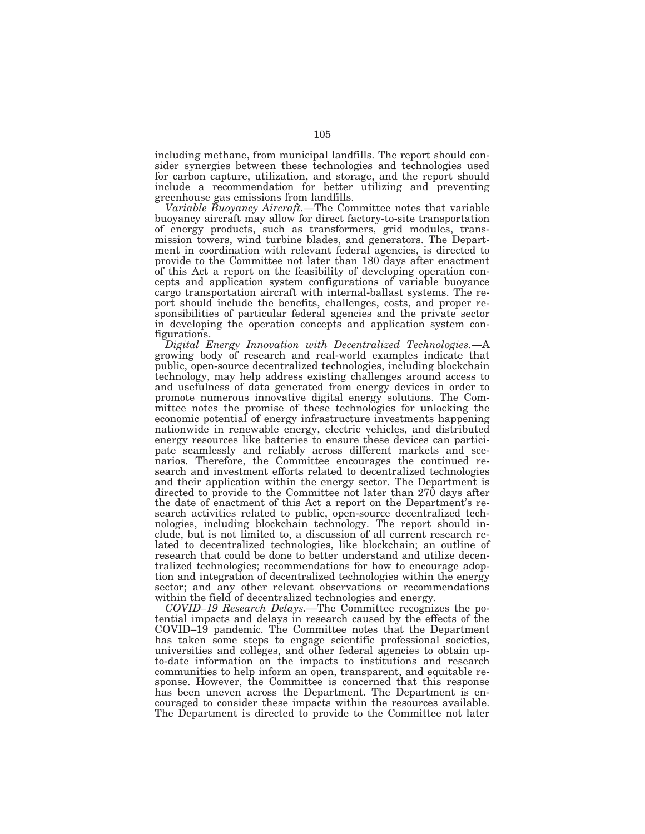including methane, from municipal landfills. The report should consider synergies between these technologies and technologies used for carbon capture, utilization, and storage, and the report should include a recommendation for better utilizing and preventing greenhouse gas emissions from landfills.

*Variable Buoyancy Aircraft.*—The Committee notes that variable buoyancy aircraft may allow for direct factory-to-site transportation of energy products, such as transformers, grid modules, transmission towers, wind turbine blades, and generators. The Department in coordination with relevant federal agencies, is directed to provide to the Committee not later than 180 days after enactment of this Act a report on the feasibility of developing operation concepts and application system configurations of variable buoyance cargo transportation aircraft with internal-ballast systems. The report should include the benefits, challenges, costs, and proper responsibilities of particular federal agencies and the private sector in developing the operation concepts and application system configurations.

*Digital Energy Innovation with Decentralized Technologies.*—A growing body of research and real-world examples indicate that public, open-source decentralized technologies, including blockchain technology, may help address existing challenges around access to and usefulness of data generated from energy devices in order to promote numerous innovative digital energy solutions. The Committee notes the promise of these technologies for unlocking the economic potential of energy infrastructure investments happening nationwide in renewable energy, electric vehicles, and distributed energy resources like batteries to ensure these devices can participate seamlessly and reliably across different markets and scenarios. Therefore, the Committee encourages the continued research and investment efforts related to decentralized technologies and their application within the energy sector. The Department is directed to provide to the Committee not later than 270 days after the date of enactment of this Act a report on the Department's research activities related to public, open-source decentralized technologies, including blockchain technology. The report should include, but is not limited to, a discussion of all current research related to decentralized technologies, like blockchain; an outline of research that could be done to better understand and utilize decentralized technologies; recommendations for how to encourage adoption and integration of decentralized technologies within the energy sector; and any other relevant observations or recommendations within the field of decentralized technologies and energy.

*COVID–19 Research Delays.*—The Committee recognizes the potential impacts and delays in research caused by the effects of the COVID–19 pandemic. The Committee notes that the Department has taken some steps to engage scientific professional societies, universities and colleges, and other federal agencies to obtain upto-date information on the impacts to institutions and research communities to help inform an open, transparent, and equitable response. However, the Committee is concerned that this response has been uneven across the Department. The Department is encouraged to consider these impacts within the resources available. The Department is directed to provide to the Committee not later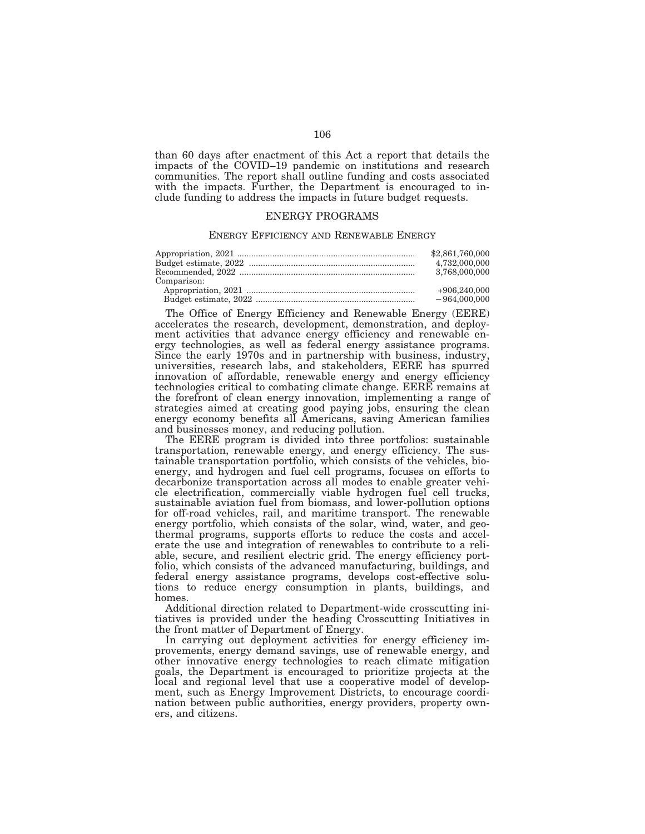than 60 days after enactment of this Act a report that details the impacts of the COVID–19 pandemic on institutions and research communities. The report shall outline funding and costs associated with the impacts. Further, the Department is encouraged to include funding to address the impacts in future budget requests.

# ENERGY PROGRAMS

## ENERGY EFFICIENCY AND RENEWABLE ENERGY

| Comparison: | \$2,861,760,000<br>4.732.000.000<br>3.768.000.000 |
|-------------|---------------------------------------------------|
|             | $+906,240,000$                                    |
|             | $-964,000,000$                                    |

The Office of Energy Efficiency and Renewable Energy (EERE) accelerates the research, development, demonstration, and deployment activities that advance energy efficiency and renewable energy technologies, as well as federal energy assistance programs. Since the early 1970s and in partnership with business, industry, universities, research labs, and stakeholders, EERE has spurred innovation of affordable, renewable energy and energy efficiency technologies critical to combating climate change. EERE remains at the forefront of clean energy innovation, implementing a range of strategies aimed at creating good paying jobs, ensuring the clean energy economy benefits all Americans, saving American families and businesses money, and reducing pollution.

The EERE program is divided into three portfolios: sustainable transportation, renewable energy, and energy efficiency. The sustainable transportation portfolio, which consists of the vehicles, bioenergy, and hydrogen and fuel cell programs, focuses on efforts to decarbonize transportation across all modes to enable greater vehicle electrification, commercially viable hydrogen fuel cell trucks, sustainable aviation fuel from biomass, and lower-pollution options for off-road vehicles, rail, and maritime transport. The renewable energy portfolio, which consists of the solar, wind, water, and geothermal programs, supports efforts to reduce the costs and accelerate the use and integration of renewables to contribute to a reliable, secure, and resilient electric grid. The energy efficiency portfolio, which consists of the advanced manufacturing, buildings, and federal energy assistance programs, develops cost-effective solutions to reduce energy consumption in plants, buildings, and homes.

Additional direction related to Department-wide crosscutting initiatives is provided under the heading Crosscutting Initiatives in the front matter of Department of Energy.

In carrying out deployment activities for energy efficiency improvements, energy demand savings, use of renewable energy, and other innovative energy technologies to reach climate mitigation goals, the Department is encouraged to prioritize projects at the local and regional level that use a cooperative model of development, such as Energy Improvement Districts, to encourage coordination between public authorities, energy providers, property owners, and citizens.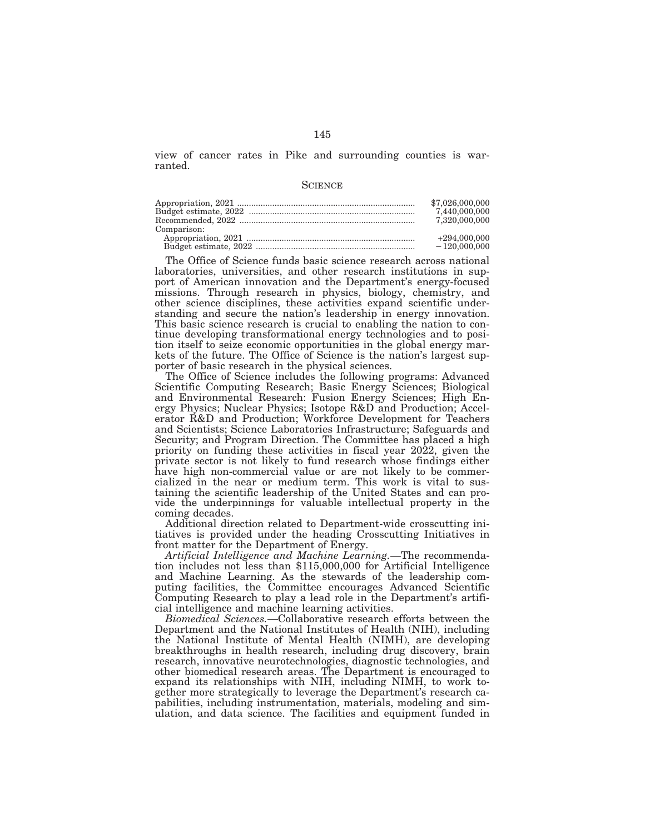view of cancer rates in Pike and surrounding counties is warranted.

#### **SCIENCE**

| Comparison: | \$7,026,000,000<br>7.440.000.000<br>7.320.000.000 |
|-------------|---------------------------------------------------|
|             | $+294,000,000$                                    |
|             | $-120,000,000$                                    |

The Office of Science funds basic science research across national laboratories, universities, and other research institutions in support of American innovation and the Department's energy-focused missions. Through research in physics, biology, chemistry, and other science disciplines, these activities expand scientific understanding and secure the nation's leadership in energy innovation. This basic science research is crucial to enabling the nation to continue developing transformational energy technologies and to position itself to seize economic opportunities in the global energy markets of the future. The Office of Science is the nation's largest supporter of basic research in the physical sciences.

The Office of Science includes the following programs: Advanced Scientific Computing Research; Basic Energy Sciences; Biological and Environmental Research: Fusion Energy Sciences; High Energy Physics; Nuclear Physics; Isotope R&D and Production; Accelerator R&D and Production; Workforce Development for Teachers and Scientists; Science Laboratories Infrastructure; Safeguards and Security; and Program Direction. The Committee has placed a high priority on funding these activities in fiscal year 2022, given the private sector is not likely to fund research whose findings either have high non-commercial value or are not likely to be commercialized in the near or medium term. This work is vital to sustaining the scientific leadership of the United States and can provide the underpinnings for valuable intellectual property in the coming decades.

Additional direction related to Department-wide crosscutting initiatives is provided under the heading Crosscutting Initiatives in front matter for the Department of Energy.

*Artificial Intelligence and Machine Learning.*—The recommendation includes not less than \$115,000,000 for Artificial Intelligence and Machine Learning. As the stewards of the leadership computing facilities, the Committee encourages Advanced Scientific Computing Research to play a lead role in the Department's artificial intelligence and machine learning activities.

*Biomedical Sciences.*—Collaborative research efforts between the Department and the National Institutes of Health (NIH), including the National Institute of Mental Health (NIMH), are developing breakthroughs in health research, including drug discovery, brain research, innovative neurotechnologies, diagnostic technologies, and other biomedical research areas. The Department is encouraged to expand its relationships with NIH, including NIMH, to work together more strategically to leverage the Department's research capabilities, including instrumentation, materials, modeling and simulation, and data science. The facilities and equipment funded in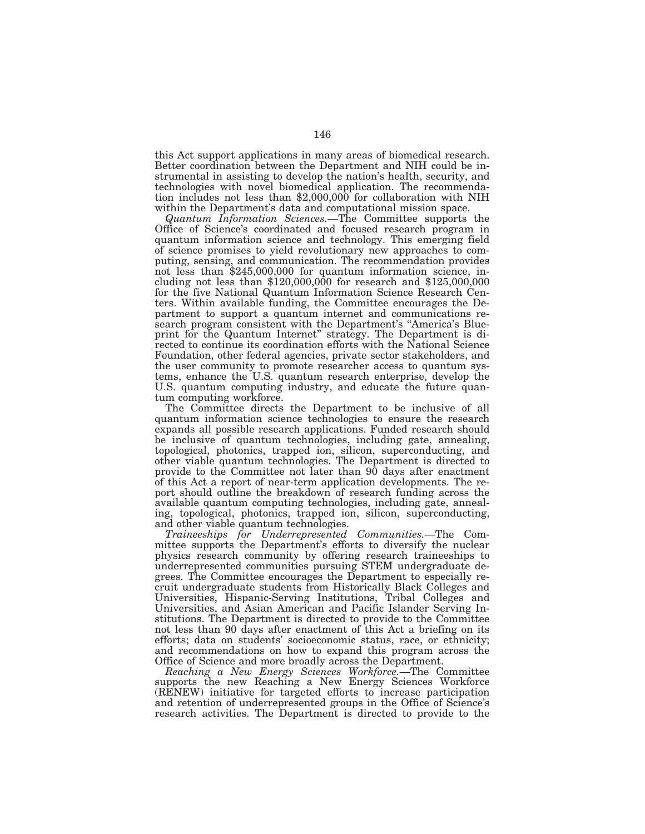this Act support applications in many areas of biomedical research. Better coordination between the Department and NIH could be instrumental in assisting to develop the nation's health, security, and technologies with novel biomedical application. The recommendation includes not less than \$2,000,000 for collaboration with NIH within the Department's data and computational mission space.

*Quantum Information Sciences.*—The Committee supports the Office of Science's coordinated and focused research program in quantum information science and technology. This emerging field of science promises to yield revolutionary new approaches to computing, sensing, and communication. The recommendation provides not less than \$245,000,000 for quantum information science, including not less than  $$120,000,000$  for research and  $$125,000,000$ for the five National Quantum Information Science Research Centers. Within available funding, the Committee encourages the Department to support a quantum internet and communications research program consistent with the Department's ''America's Blueprint for the Quantum Internet'' strategy. The Department is directed to continue its coordination efforts with the National Science Foundation, other federal agencies, private sector stakeholders, and the user community to promote researcher access to quantum systems, enhance the U.S. quantum research enterprise, develop the U.S. quantum computing industry, and educate the future quantum computing workforce.

The Committee directs the Department to be inclusive of all quantum information science technologies to ensure the research expands all possible research applications. Funded research should be inclusive of quantum technologies, including gate, annealing, topological, photonics, trapped ion, silicon, superconducting, and other viable quantum technologies. The Department is directed to provide to the Committee not later than 90 days after enactment of this Act a report of near-term application developments. The report should outline the breakdown of research funding across the available quantum computing technologies, including gate, annealing, topological, photonics, trapped ion, silicon, superconducting, and other viable quantum technologies.

*Traineeships for Underrepresented Communities.*—The Committee supports the Department's efforts to diversify the nuclear physics research community by offering research traineeships to underrepresented communities pursuing STEM undergraduate degrees. The Committee encourages the Department to especially recruit undergraduate students from Historically Black Colleges and Universities, Hispanic-Serving Institutions, Tribal Colleges and Universities, and Asian American and Pacific Islander Serving Institutions. The Department is directed to provide to the Committee not less than 90 days after enactment of this Act a briefing on its efforts; data on students' socioeconomic status, race, or ethnicity; and recommendations on how to expand this program across the Office of Science and more broadly across the Department.

*Reaching a New Energy Sciences Workforce.*—The Committee supports the new Reaching a New Energy Sciences Workforce (RENEW) initiative for targeted efforts to increase participation and retention of underrepresented groups in the Office of Science's research activities. The Department is directed to provide to the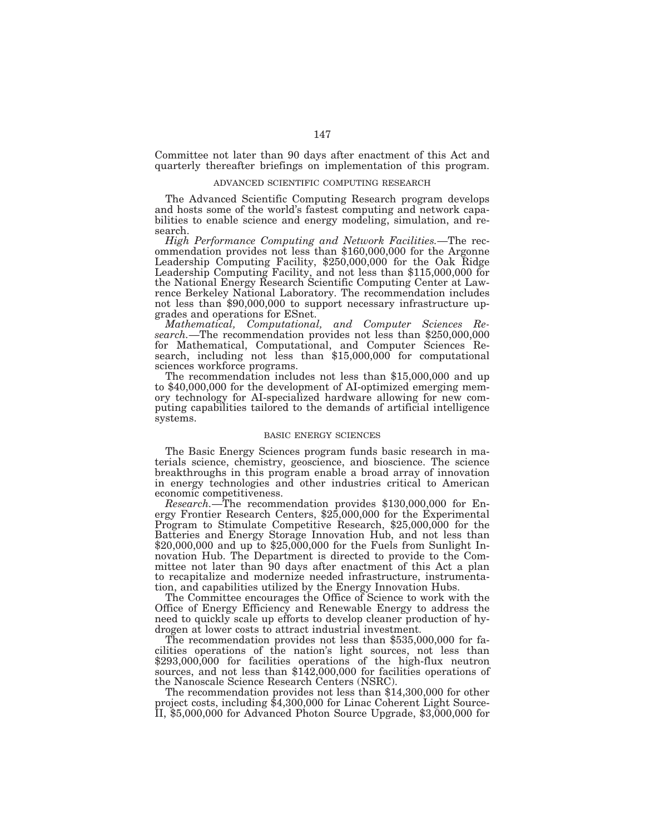Committee not later than 90 days after enactment of this Act and quarterly thereafter briefings on implementation of this program.

#### ADVANCED SCIENTIFIC COMPUTING RESEARCH

The Advanced Scientific Computing Research program develops and hosts some of the world's fastest computing and network capabilities to enable science and energy modeling, simulation, and research.

*High Performance Computing and Network Facilities.*—The recommendation provides not less than \$160,000,000 for the Argonne Leadership Computing Facility, \$250,000,000 for the Oak Ridge Leadership Computing Facility, and not less than \$115,000,000 for the National Energy Research Scientific Computing Center at Lawrence Berkeley National Laboratory. The recommendation includes not less than \$90,000,000 to support necessary infrastructure upgrades and operations for ESnet.

*Mathematical, Computational, and Computer Sciences Research.*—The recommendation provides not less than \$250,000,000 for Mathematical, Computational, and Computer Sciences Research, including not less than \$15,000,000 for computational

sciences workforce programs. The recommendation includes not less than \$15,000,000 and up to \$40,000,000 for the development of AI-optimized emerging memory technology for AI-specialized hardware allowing for new computing capabilities tailored to the demands of artificial intelligence systems.

## BASIC ENERGY SCIENCES

The Basic Energy Sciences program funds basic research in materials science, chemistry, geoscience, and bioscience. The science breakthroughs in this program enable a broad array of innovation in energy technologies and other industries critical to American

economic competitiveness.<br> *Research*.—The recommendation provides \$130,000,000 for Energy Frontier Research Centers, \$25,000,000 for the Experimental Program to Stimulate Competitive Research, \$25,000,000 for the Batteries and Energy Storage Innovation Hub, and not less than  $$20,000,000$  and up to  $$25,000,000$  for the Fuels from Sunlight Innovation Hub. The Department is directed to provide to the Committee not later than 90 days after enactment of this Act a plan to recapitalize and modernize needed infrastructure, instrumentation, and capabilities utilized by the Energy Innovation Hubs.

The Committee encourages the Office of Science to work with the Office of Energy Efficiency and Renewable Energy to address the need to quickly scale up efforts to develop cleaner production of hydrogen at lower costs to attract industrial investment.

The recommendation provides not less than \$535,000,000 for facilities operations of the nation's light sources, not less than \$293,000,000 for facilities operations of the high-flux neutron sources, and not less than \$142,000,000 for facilities operations of the Nanoscale Science Research Centers (NSRC).

The recommendation provides not less than \$14,300,000 for other project costs, including \$4,300,000 for Linac Coherent Light Source-II, \$5,000,000 for Advanced Photon Source Upgrade, \$3,000,000 for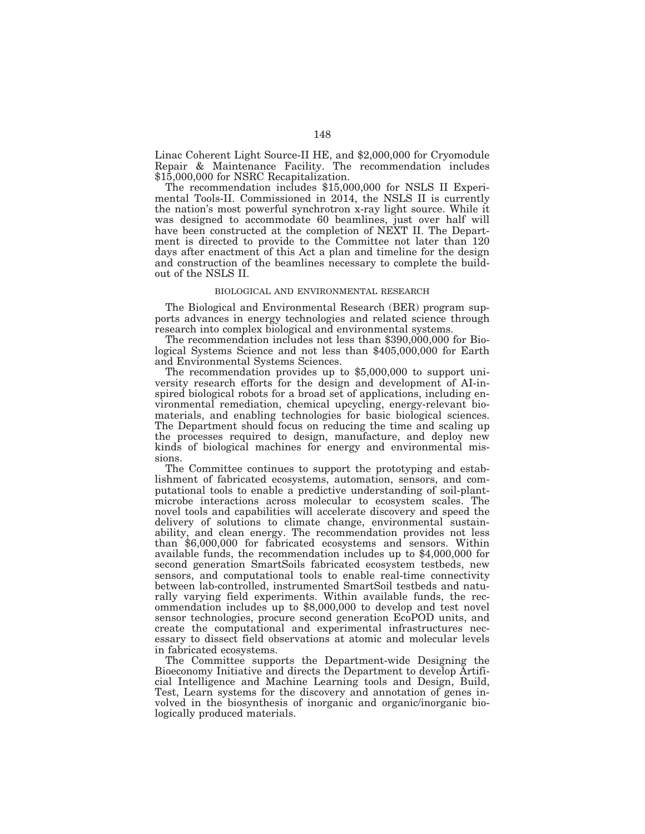Linac Coherent Light Source-II HE, and \$2,000,000 for Cryomodule Repair & Maintenance Facility. The recommendation includes \$15,000,000 for NSRC Recapitalization.

The recommendation includes \$15,000,000 for NSLS II Experimental Tools-II. Commissioned in 2014, the NSLS II is currently the nation's most powerful synchrotron x-ray light source. While it was designed to accommodate 60 beamlines, just over half will have been constructed at the completion of NEXT II. The Department is directed to provide to the Committee not later than 120 days after enactment of this Act a plan and timeline for the design and construction of the beamlines necessary to complete the buildout of the NSLS II.

#### BIOLOGICAL AND ENVIRONMENTAL RESEARCH

The Biological and Environmental Research (BER) program supports advances in energy technologies and related science through research into complex biological and environmental systems.

The recommendation includes not less than \$390,000,000 for Biological Systems Science and not less than \$405,000,000 for Earth and Environmental Systems Sciences.

The recommendation provides up to \$5,000,000 to support university research efforts for the design and development of AI-inspired biological robots for a broad set of applications, including environmental remediation, chemical upcycling, energy-relevant biomaterials, and enabling technologies for basic biological sciences. The Department should focus on reducing the time and scaling up the processes required to design, manufacture, and deploy new kinds of biological machines for energy and environmental missions.

The Committee continues to support the prototyping and establishment of fabricated ecosystems, automation, sensors, and computational tools to enable a predictive understanding of soil-plantmicrobe interactions across molecular to ecosystem scales. The novel tools and capabilities will accelerate discovery and speed the delivery of solutions to climate change, environmental sustainability, and clean energy. The recommendation provides not less than \$6,000,000 for fabricated ecosystems and sensors. Within available funds, the recommendation includes up to \$4,000,000 for second generation SmartSoils fabricated ecosystem testbeds, new sensors, and computational tools to enable real-time connectivity between lab-controlled, instrumented SmartSoil testbeds and naturally varying field experiments. Within available funds, the recommendation includes up to \$8,000,000 to develop and test novel sensor technologies, procure second generation EcoPOD units, and create the computational and experimental infrastructures necessary to dissect field observations at atomic and molecular levels in fabricated ecosystems.

The Committee supports the Department-wide Designing the Bioeconomy Initiative and directs the Department to develop Artificial Intelligence and Machine Learning tools and Design, Build, Test, Learn systems for the discovery and annotation of genes involved in the biosynthesis of inorganic and organic/inorganic biologically produced materials.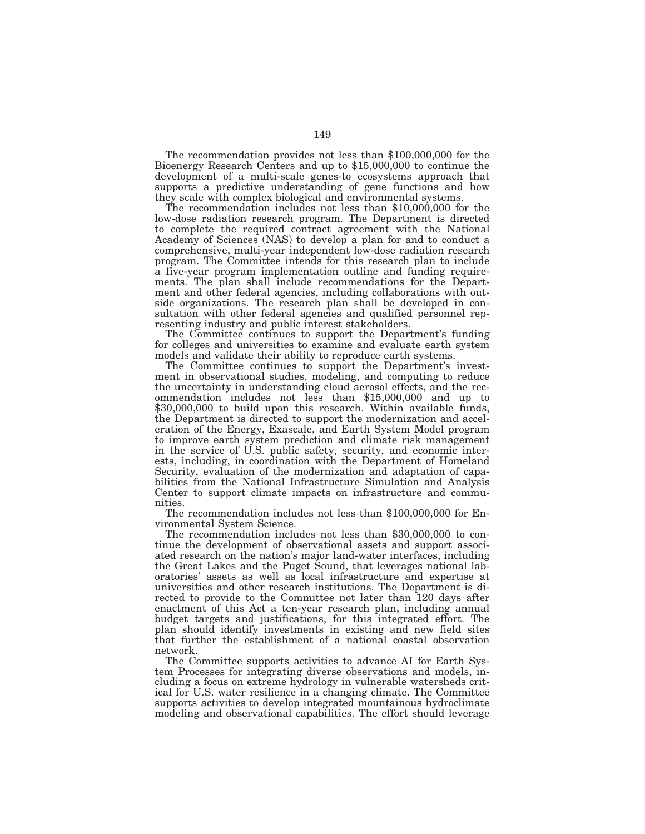The recommendation provides not less than \$100,000,000 for the Bioenergy Research Centers and up to \$15,000,000 to continue the development of a multi-scale genes-to ecosystems approach that supports a predictive understanding of gene functions and how they scale with complex biological and environmental systems. The recommendation includes not less than \$10,000,000 for the

low-dose radiation research program. The Department is directed to complete the required contract agreement with the National Academy of Sciences (NAS) to develop a plan for and to conduct a comprehensive, multi-year independent low-dose radiation research program. The Committee intends for this research plan to include a five-year program implementation outline and funding requirements. The plan shall include recommendations for the Department and other federal agencies, including collaborations with outside organizations. The research plan shall be developed in consultation with other federal agencies and qualified personnel representing industry and public interest stakeholders.

The Committee continues to support the Department's funding for colleges and universities to examine and evaluate earth system models and validate their ability to reproduce earth systems.

The Committee continues to support the Department's investment in observational studies, modeling, and computing to reduce the uncertainty in understanding cloud aerosol effects, and the recommendation includes not less than \$15,000,000 and up to \$30,000,000 to build upon this research. Within available funds, the Department is directed to support the modernization and acceleration of the Energy, Exascale, and Earth System Model program to improve earth system prediction and climate risk management in the service of U.S. public safety, security, and economic interests, including, in coordination with the Department of Homeland Security, evaluation of the modernization and adaptation of capabilities from the National Infrastructure Simulation and Analysis Center to support climate impacts on infrastructure and communities.

The recommendation includes not less than \$100,000,000 for Environmental System Science.

The recommendation includes not less than \$30,000,000 to continue the development of observational assets and support associated research on the nation's major land-water interfaces, including the Great Lakes and the Puget Sound, that leverages national laboratories' assets as well as local infrastructure and expertise at universities and other research institutions. The Department is directed to provide to the Committee not later than 120 days after enactment of this Act a ten-year research plan, including annual budget targets and justifications, for this integrated effort. The plan should identify investments in existing and new field sites that further the establishment of a national coastal observation network.

The Committee supports activities to advance AI for Earth System Processes for integrating diverse observations and models, including a focus on extreme hydrology in vulnerable watersheds critical for U.S. water resilience in a changing climate. The Committee supports activities to develop integrated mountainous hydroclimate modeling and observational capabilities. The effort should leverage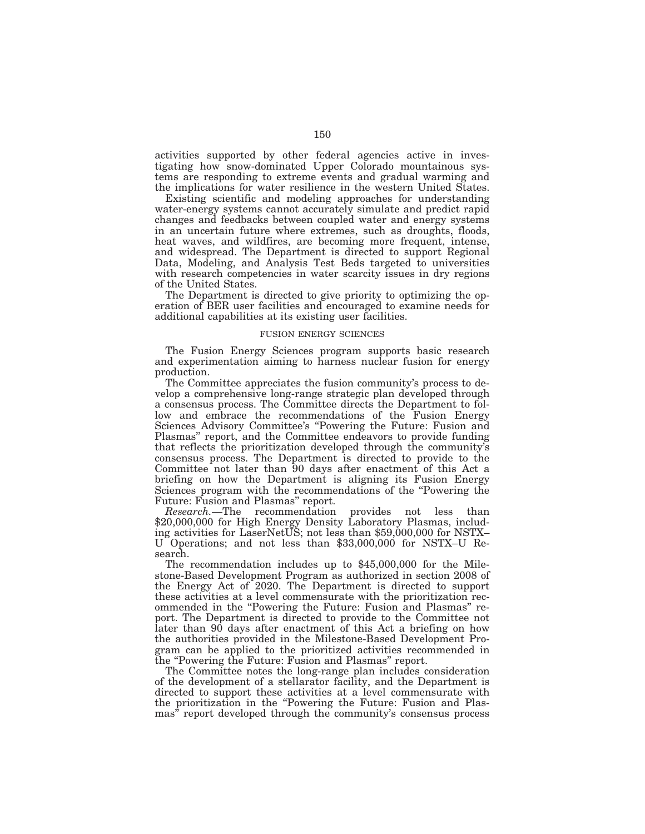activities supported by other federal agencies active in investigating how snow-dominated Upper Colorado mountainous systems are responding to extreme events and gradual warming and the implications for water resilience in the western United States.

Existing scientific and modeling approaches for understanding water-energy systems cannot accurately simulate and predict rapid changes and feedbacks between coupled water and energy systems in an uncertain future where extremes, such as droughts, floods, heat waves, and wildfires, are becoming more frequent, intense, and widespread. The Department is directed to support Regional Data, Modeling, and Analysis Test Beds targeted to universities with research competencies in water scarcity issues in dry regions of the United States.

The Department is directed to give priority to optimizing the operation of BER user facilities and encouraged to examine needs for additional capabilities at its existing user facilities.

#### FUSION ENERGY SCIENCES

The Fusion Energy Sciences program supports basic research and experimentation aiming to harness nuclear fusion for energy production.

The Committee appreciates the fusion community's process to develop a comprehensive long-range strategic plan developed through a consensus process. The Committee directs the Department to follow and embrace the recommendations of the Fusion Energy Sciences Advisory Committee's ''Powering the Future: Fusion and Plasmas'' report, and the Committee endeavors to provide funding that reflects the prioritization developed through the community's consensus process. The Department is directed to provide to the Committee not later than 90 days after enactment of this Act a briefing on how the Department is aligning its Fusion Energy Sciences program with the recommendations of the ''Powering the Future: Fusion and Plasmas'' report.

*Research.*—The recommendation provides not less than \$20,000,000 for High Energy Density Laboratory Plasmas, including activities for LaserNetUS; not less than \$59,000,000 for NSTX– U Operations; and not less than \$33,000,000 for NSTX–U Research.

The recommendation includes up to \$45,000,000 for the Milestone-Based Development Program as authorized in section 2008 of the Energy Act of 2020. The Department is directed to support these activities at a level commensurate with the prioritization recommended in the ''Powering the Future: Fusion and Plasmas'' report. The Department is directed to provide to the Committee not later than 90 days after enactment of this Act a briefing on how the authorities provided in the Milestone-Based Development Program can be applied to the prioritized activities recommended in the ''Powering the Future: Fusion and Plasmas'' report.

The Committee notes the long-range plan includes consideration of the development of a stellarator facility, and the Department is directed to support these activities at a level commensurate with the prioritization in the ''Powering the Future: Fusion and Plasmas'' report developed through the community's consensus process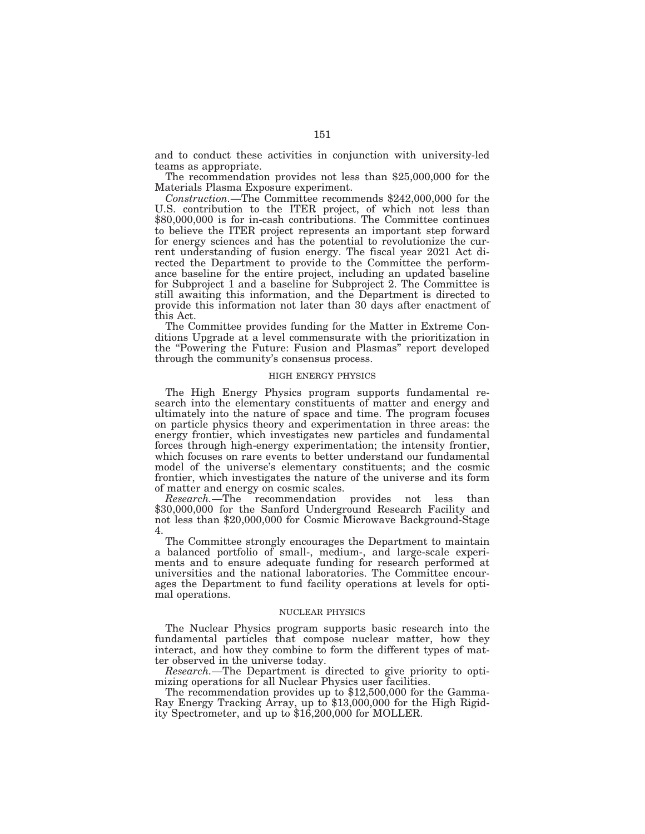and to conduct these activities in conjunction with university-led teams as appropriate.

The recommendation provides not less than \$25,000,000 for the Materials Plasma Exposure experiment.

*Construction.*—The Committee recommends \$242,000,000 for the U.S. contribution to the ITER project, of which not less than \$80,000,000 is for in-cash contributions. The Committee continues to believe the ITER project represents an important step forward for energy sciences and has the potential to revolutionize the current understanding of fusion energy. The fiscal year 2021 Act directed the Department to provide to the Committee the performance baseline for the entire project, including an updated baseline for Subproject 1 and a baseline for Subproject 2. The Committee is still awaiting this information, and the Department is directed to provide this information not later than 30 days after enactment of this Act.

The Committee provides funding for the Matter in Extreme Conditions Upgrade at a level commensurate with the prioritization in the ''Powering the Future: Fusion and Plasmas'' report developed through the community's consensus process.

## HIGH ENERGY PHYSICS

The High Energy Physics program supports fundamental research into the elementary constituents of matter and energy and ultimately into the nature of space and time. The program focuses on particle physics theory and experimentation in three areas: the energy frontier, which investigates new particles and fundamental forces through high-energy experimentation; the intensity frontier, which focuses on rare events to better understand our fundamental model of the universe's elementary constituents; and the cosmic frontier, which investigates the nature of the universe and its form of matter and energy on cosmic scales.

*Research.*—The recommendation provides not less than \$30,000,000 for the Sanford Underground Research Facility and not less than \$20,000,000 for Cosmic Microwave Background-Stage 4.

The Committee strongly encourages the Department to maintain a balanced portfolio of small-, medium-, and large-scale experiments and to ensure adequate funding for research performed at universities and the national laboratories. The Committee encourages the Department to fund facility operations at levels for optimal operations.

## NUCLEAR PHYSICS

The Nuclear Physics program supports basic research into the fundamental particles that compose nuclear matter, how they interact, and how they combine to form the different types of matter observed in the universe today.

*Research.*—The Department is directed to give priority to optimizing operations for all Nuclear Physics user facilities.

The recommendation provides up to \$12,500,000 for the Gamma-Ray Energy Tracking Array, up to \$13,000,000 for the High Rigidity Spectrometer, and up to \$16,200,000 for MOLLER.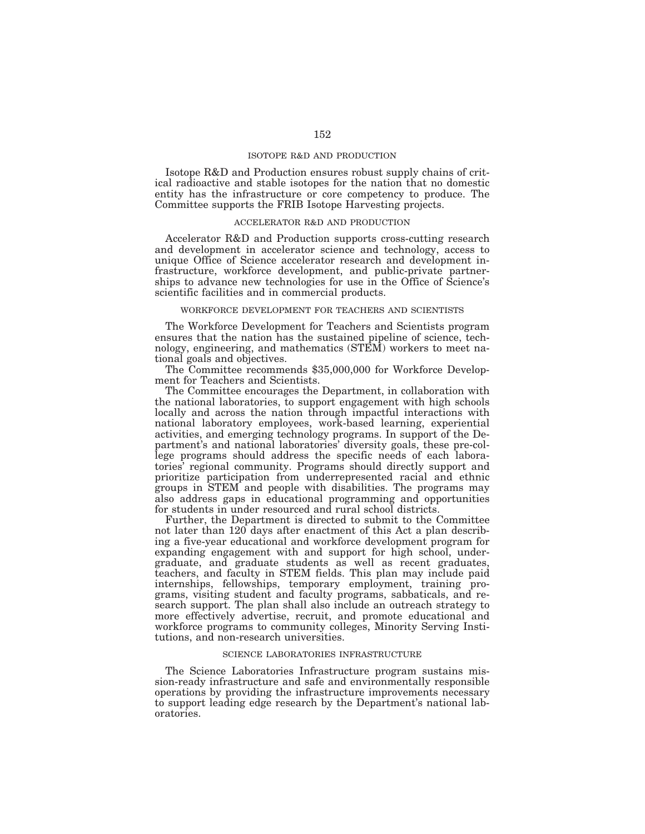## ISOTOPE R&D AND PRODUCTION

Isotope R&D and Production ensures robust supply chains of critical radioactive and stable isotopes for the nation that no domestic entity has the infrastructure or core competency to produce. The Committee supports the FRIB Isotope Harvesting projects.

#### ACCELERATOR R&D AND PRODUCTION

Accelerator R&D and Production supports cross-cutting research and development in accelerator science and technology, access to unique Office of Science accelerator research and development infrastructure, workforce development, and public-private partnerships to advance new technologies for use in the Office of Science's scientific facilities and in commercial products.

#### WORKFORCE DEVELOPMENT FOR TEACHERS AND SCIENTISTS

The Workforce Development for Teachers and Scientists program ensures that the nation has the sustained pipeline of science, technology, engineering, and mathematics (STEM) workers to meet national goals and objectives.

The Committee recommends \$35,000,000 for Workforce Development for Teachers and Scientists.

The Committee encourages the Department, in collaboration with the national laboratories, to support engagement with high schools locally and across the nation through impactful interactions with national laboratory employees, work-based learning, experiential activities, and emerging technology programs. In support of the Department's and national laboratories' diversity goals, these pre-college programs should address the specific needs of each laboratories' regional community. Programs should directly support and prioritize participation from underrepresented racial and ethnic groups in STEM and people with disabilities. The programs may also address gaps in educational programming and opportunities for students in under resourced and rural school districts.

Further, the Department is directed to submit to the Committee not later than 120 days after enactment of this Act a plan describing a five-year educational and workforce development program for expanding engagement with and support for high school, undergraduate, and graduate students as well as recent graduates, teachers, and faculty in STEM fields. This plan may include paid internships, fellowships, temporary employment, training programs, visiting student and faculty programs, sabbaticals, and research support. The plan shall also include an outreach strategy to more effectively advertise, recruit, and promote educational and workforce programs to community colleges, Minority Serving Institutions, and non-research universities.

## SCIENCE LABORATORIES INFRASTRUCTURE

The Science Laboratories Infrastructure program sustains mission-ready infrastructure and safe and environmentally responsible operations by providing the infrastructure improvements necessary to support leading edge research by the Department's national laboratories.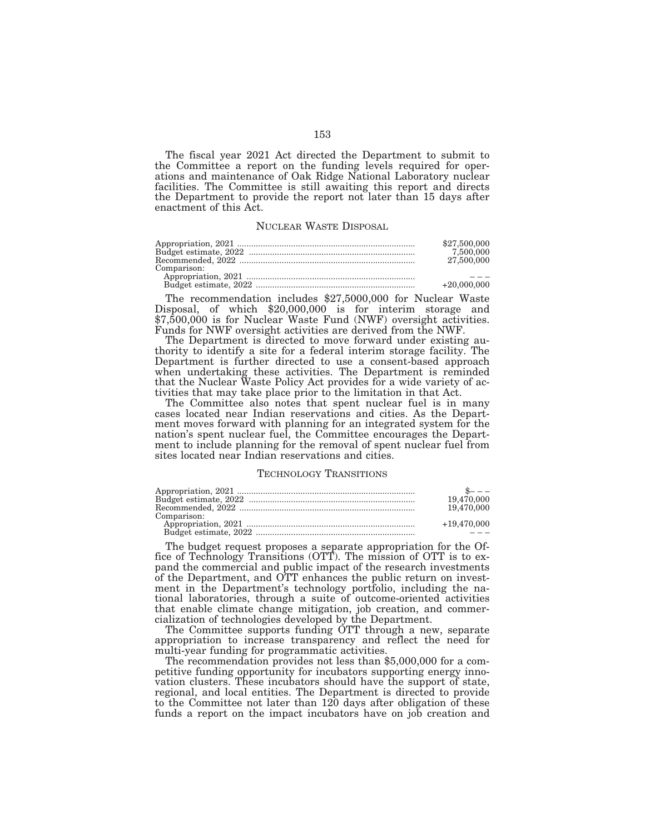The fiscal year 2021 Act directed the Department to submit to the Committee a report on the funding levels required for operations and maintenance of Oak Ridge National Laboratory nuclear facilities. The Committee is still awaiting this report and directs the Department to provide the report not later than 15 days after enactment of this Act.

# NUCLEAR WASTE DISPOSAL

|             | \$27,500,000  |
|-------------|---------------|
|             | 7.500.000     |
|             | 27,500,000    |
| Comparison: |               |
|             |               |
|             | $+20.000.000$ |

The recommendation includes \$27,5000,000 for Nuclear Waste Disposal, of which \$20,000,000 is for interim storage and \$7,500,000 is for Nuclear Waste Fund (NWF) oversight activities. Funds for NWF oversight activities are derived from the NWF.

The Department is directed to move forward under existing authority to identify a site for a federal interim storage facility. The Department is further directed to use a consent-based approach when undertaking these activities. The Department is reminded that the Nuclear Waste Policy Act provides for a wide variety of activities that may take place prior to the limitation in that Act.

The Committee also notes that spent nuclear fuel is in many cases located near Indian reservations and cities. As the Department moves forward with planning for an integrated system for the nation's spent nuclear fuel, the Committee encourages the Department to include planning for the removal of spent nuclear fuel from sites located near Indian reservations and cities.

## TECHNOLOGY TRANSITIONS

|             | 19.470,000    |
|-------------|---------------|
|             | 19.470,000    |
| Comparison: |               |
|             | $+19.470.000$ |
|             |               |

The budget request proposes a separate appropriation for the Office of Technology Transitions (OTT). The mission of OTT is to expand the commercial and public impact of the research investments of the Department, and OTT enhances the public return on investment in the Department's technology portfolio, including the national laboratories, through a suite of outcome-oriented activities that enable climate change mitigation, job creation, and commercialization of technologies developed by the Department.

The Committee supports funding OTT through a new, separate appropriation to increase transparency and reflect the need for

The recommendation provides not less than \$5,000,000 for a competitive funding opportunity for incubators supporting energy innovation clusters. These incubators should have the support of state, regional, and local entities. The Department is directed to provide to the Committee not later than 120 days after obligation of these funds a report on the impact incubators have on job creation and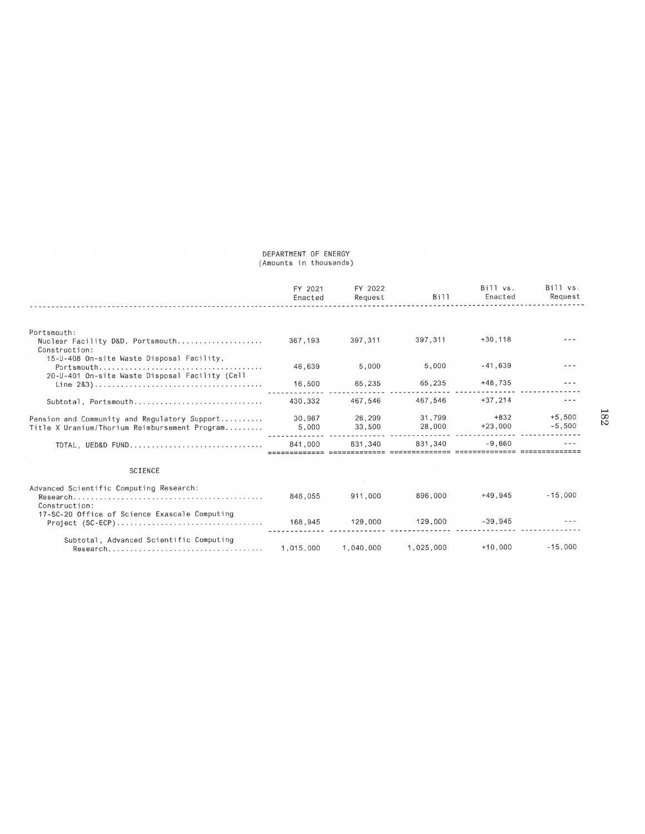## DEPARTMENT OF ENERGY (Amounts in thousands)

|                                                                                               | FY 2021<br>Enacted | FY 2022<br>Request | Bill             | Bill vs.<br>Enacted | Bill vs.<br>Request  |
|-----------------------------------------------------------------------------------------------|--------------------|--------------------|------------------|---------------------|----------------------|
|                                                                                               |                    |                    |                  |                     |                      |
| Portsmouth:<br>Nuclear Facility D&D, Portsmouth<br>Construction:                              | 367,193            | 397.311            | 397,311          | $+30.118$           |                      |
| 15-U-408 On-site Waste Disposal Facility,<br>20-U-401 On-site Waste Disposal Facility (Cell   | 46.639             | 5,000              | 5,000            | $-41.639$           |                      |
|                                                                                               | 16.500             | 65,235             | 65,235           | $+48,735$           |                      |
| Subtotal, Portsmouth,,,,,,,,,,,,,,,,,,,,,,,,,,,,,,,,,                                         | 430.332            | 467.546            | 467.546          | $+37.214$           |                      |
| Pension and Community and Regulatory Support<br>Title X Uranium/Thorium Reimbursement Program | 30.967<br>5,000    | 26,299<br>33,500   | 31.799<br>28,000 | $+832$<br>$+23.000$ | $+5.500$<br>$-5,500$ |
| TOTAL, UED&D FUND,                                                                            | 841.000            | 831.340            | 831.340          | $-9.660$            |                      |
| <b>SCIENCE</b>                                                                                |                    |                    |                  |                     |                      |
| Advanced Scientific Computing Research:<br>Construction:                                      | 846,055            | 911.000            | 896,000          | $+49.945$           | $-15,000$            |
| 17-SC-20 Office of Science Exascale Computing                                                 |                    | 129,000            | 129,000          | $-39.945$           |                      |
| Subtotal, Advanced Scientific Computing                                                       | 1.015.000          | 1,040,000          | 1.025.000        | $+10.000$           | $-15.000$            |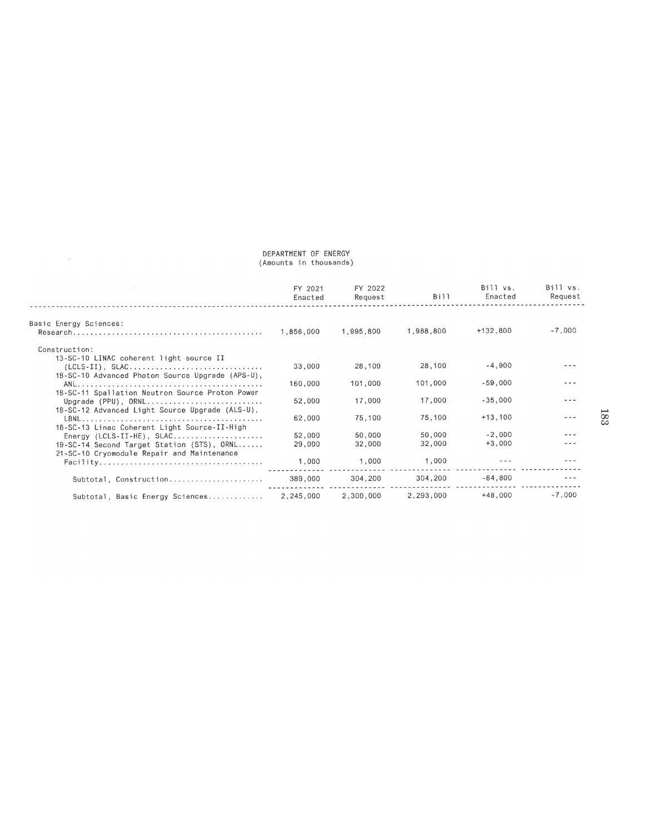# DEPARTMENT OF ENERGY<br>(Amounts in thousands)

 $\label{eq:2.1} \mathcal{P} = \mathcal{P} \left( \mathcal{P} \right)$ 

|                                                  | FY 2021<br>Enacted | FY 2022<br>Request | Bill      | Bill vs.<br>Enacted | B111 vs.<br>Request |
|--------------------------------------------------|--------------------|--------------------|-----------|---------------------|---------------------|
|                                                  |                    |                    |           |                     |                     |
| Basic Energy Sciences:                           |                    |                    |           |                     |                     |
|                                                  | 1,856,000          | 1,995,800          | 1,988,800 | $+132,800$          | $-7,000$            |
| Construction:                                    |                    |                    |           |                     |                     |
| 13-SC-10 LINAC coherent light source II          |                    |                    |           |                     |                     |
|                                                  | 33,000             | 28,100             | 28,100    | $-4.900$            |                     |
| 18-SC-10 Advanced Photon Source Upgrade (APS-U), |                    |                    |           |                     |                     |
|                                                  | 160,000            | 101,000            | 101,000   | $-59,000$           |                     |
| 18-SC-11 Spallation Neutron Source Proton Power  |                    |                    |           |                     |                     |
| Upgrade (PPU), ORNL                              | 52,000             | 17,000             | 17,000    | $-35,000$           |                     |
| 18-SC-12 Advanced Light Source Upgrade (ALS-U),  |                    |                    |           |                     |                     |
|                                                  | 62.000             | 75.100             | 75,100    | $+13.100$           |                     |
| 18-SC-13 Linac Coherent Light Source-II-High     |                    |                    |           |                     |                     |
|                                                  | 52.000             | 50,000             | 50,000    | $-2.000$            |                     |
| 19-SC-14 Second Target Station (STS), ORNL       | 29,000             | 32,000             | 32,000    | $+3.000$            |                     |
| 21-SC-10 Cryomodule Repair and Maintenance       |                    |                    |           |                     |                     |
|                                                  | 1,000              | 1,000              | 1,000     |                     |                     |
|                                                  |                    | 304,200            | 304,200   | $-84,800$           |                     |
| Subtotal, Construction                           | 389,000            |                    |           |                     |                     |
| Subtotal, Basic Energy Sciences                  | 2.245.000          | 2.300.000          | 2,293,000 | $+48,000$           | $-7.000$            |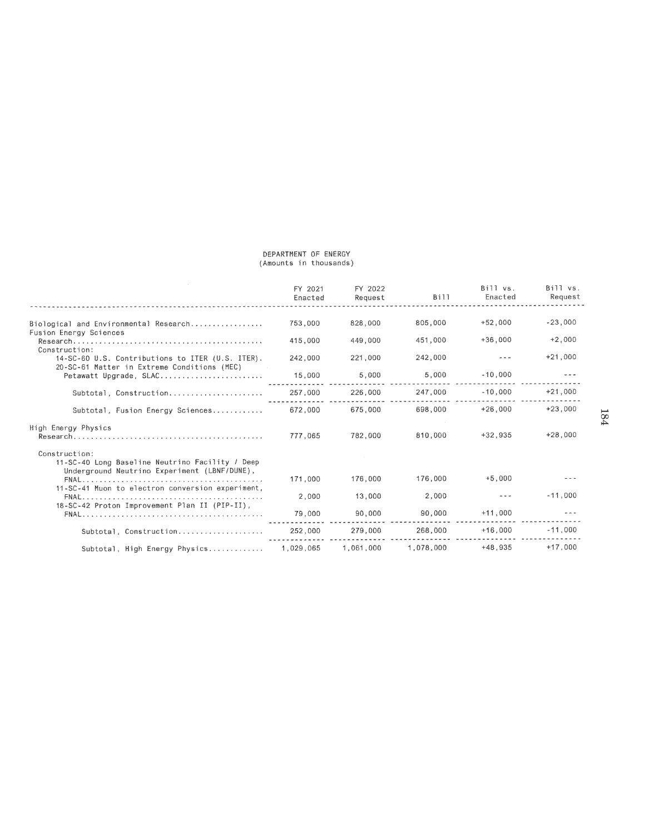## DEPARTMENT OF ENERGY (Amounts in thousands)

|                                                                                                                  | FY 2021<br>Enacted | FY 2022<br>Request | <b>Bill</b> | Bill vs.<br>Enacted | Bill vs.<br>Request |
|------------------------------------------------------------------------------------------------------------------|--------------------|--------------------|-------------|---------------------|---------------------|
|                                                                                                                  |                    |                    |             |                     |                     |
| Biological and Environmental Research<br>Fusion Energy Sciences                                                  | 753,000            | 828,000            | 805,000     | $+52.000$           | $-23,000$           |
| $Research$<br>Construction:                                                                                      | 415.000            | 449,000            | 451.000     | $+36,000$           | $+2,000$            |
| 14-SC-60 U.S. Contributions to ITER (U.S. ITER).<br>20-SC-61 Matter in Extreme Conditions (MEC)                  | 242,000            | 221,000            | 242,000     |                     | $+21.000$           |
| Petawatt Upgrade, SLAC                                                                                           | 15,000             | 5.000              | 5,000       | $-10.000$           |                     |
| Subtotal, Construction                                                                                           | 257,000            | 226,000            | 247,000     | $-10.000$           | $+21,000$           |
| Subtotal, Fusion Energy Sciences                                                                                 | 672.000            | 675.000            | 698.000     | $+26.000$           | $+23,000$           |
| High Energy Physics                                                                                              | 777,065            | 782.000            | 810,000     | $+32.935$           | $+28,000$           |
| Construction:<br>11-SC-40 Long Baseline Neutrino Facility / Deep<br>Underground Neutrino Experiment (LBNF/DUNE), |                    |                    |             |                     |                     |
| 11-SC-41 Muon to electron conversion experiment.                                                                 | 171,000            | 176,000            | 176,000     | $+5,000$            |                     |
| 18-SC-42 Proton Improvement Plan II (PIP-II),                                                                    | 2,000              | 13,000             | 2,000       |                     | $-11,000$           |
|                                                                                                                  | 79,000             | 90,000             | 90,000      | $+11.000$           |                     |
| Subtotal, Construction                                                                                           | 252,000            | 279,000            | 268,000     | $+16,000$           | $-11.000$           |
| Subtotal, High Energy Physics                                                                                    | 1.029.065          | 1.061.000          | 1.078.000   | $+48.935$           | $+17,000$           |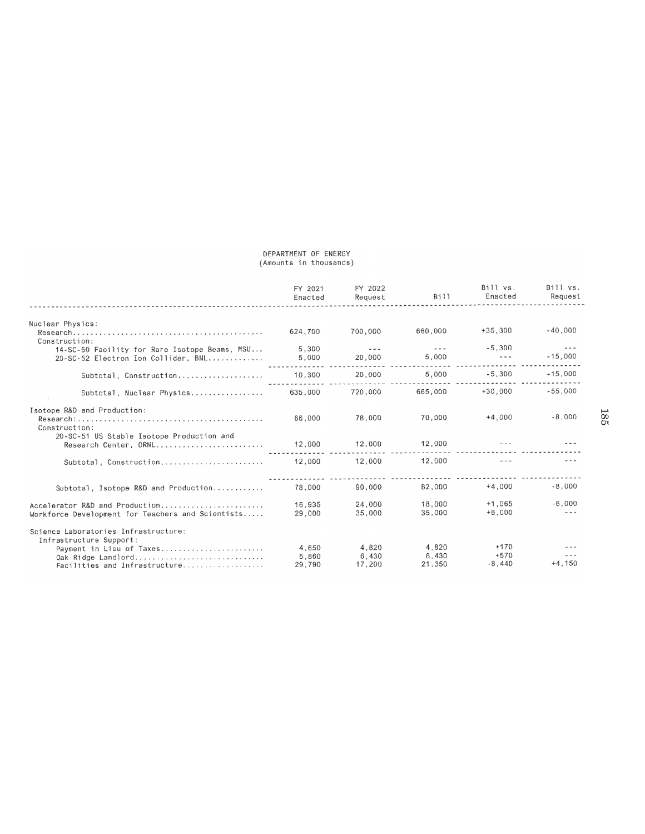# DEPARTMENT OF ENERGY<br>(Amounts in thousands)

|                                                                    | FY 2021<br>Enacted | FY 2022<br>Request   | 8111    | Bill vs.<br>Enacted  | Bill vs.<br>Request  |
|--------------------------------------------------------------------|--------------------|----------------------|---------|----------------------|----------------------|
| Nuclear Physics:                                                   |                    |                      |         |                      |                      |
| Construction:                                                      | 624.700            | 700,000              | 660,000 | $+35.300$            | $-40.000$            |
| 14-SC-50 Facility for Rare Isotope Beams, MSU                      | 5,300              | $\sim$ $\sim$ $\sim$ | $ -$    | $-5.300$             | $\sim$ $\sim$ $\sim$ |
| 20-SC-52 Electron Ion Collider, BNL                                | 5.000              | 20,000               | 5,000   | $\sim$ $\sim$ $\sim$ | $-15.000$            |
| Subtotal, Construction, , , ,                                      | 10,300             | 20,000               | 5,000   | $-5,300$             | $-15,000$            |
| Subtotal, Nuclear Physics                                          | 635,000            | 720,000              | 665,000 | $+30.000$            | $-55.000$            |
| Isotope R&D and Production:<br>Construction:                       | 66,000             | 78.000               | 70,000  | $+4,000$             | $-8,000$             |
| 20-SC-51 US Stable Isotope Production and<br>Research Center, ORNL | 12,000             | 12,000               | 12,000  |                      |                      |
| Subtotal, Construction                                             | 12,000             | 12,000               | 12,000  | $\sim$ $\sim$ $\sim$ |                      |
|                                                                    |                    |                      |         |                      |                      |
| Subtotal, Isotope R&D and Production                               | 78.000             | 90,000               | 82,000  | $+4,000$             | $-8,000$             |
| Accelerator R&D and Production                                     | 16.935             | 24.000               | 18,000  | $+1.065$             | $-6,000$             |
| Workforce Development for Teachers and Scientists                  | 29,000             | 35,000               | 35,000  | $+6.000$             |                      |
| Science Laboratories Infrastructure:                               |                    |                      |         |                      |                      |
| Infrastructure Support:<br>Payment in Lieu of Taxes                | 4.650              | 4.820                | 4.820   | $+170$               |                      |
| Oak Ridge Landlord                                                 | 5,860              | 6,430                | 6.430   | $+570$               |                      |
| Facilities and Infrastructure                                      | 29,790             | 17.200               | 21,350  | $-8.440$             | $+4,150$             |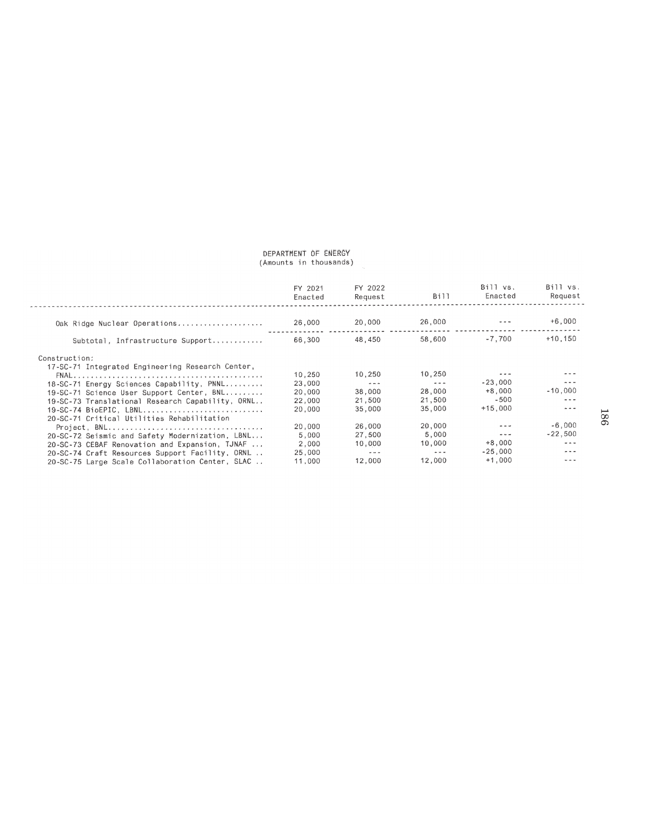# DEPARTMENT OF ENERGY<br>(Amounts in thousands)

|                                                  | FY 2021<br>Enacted | FY 2022<br>Request   | B111       | Bill vs.<br>Enacted  | Bill vs.<br>Request  |
|--------------------------------------------------|--------------------|----------------------|------------|----------------------|----------------------|
|                                                  |                    |                      |            |                      |                      |
| Oak Ridge Nuclear Operations                     | 26,000             | 20,000               | 26,000     |                      | $+6.000$             |
| Subtotal, Infrastructure Support                 | 66.300             | 48.450               | 58,600     | $-7.700$             | $+10.150$            |
| Construction:                                    |                    |                      |            |                      |                      |
| 17-SC-71 Integrated Engineering Research Center, |                    |                      |            |                      |                      |
|                                                  | 10,250             | 10.250               | 10,250     |                      |                      |
| 18-SC-71 Energy Sciences Capability, PNNL        | 23,000             | $\sim$ $\sim$ $\sim$ | $- - -$    | $-23.000$            | $- -$                |
| 19-SC-71 Science User Support Center, BNL        | 20.000             | 38,000               | 28,000     | $+8.000$             | $-10.000$            |
| 19-SC-73 Translational Research Capability, ORNL | 22,000             | 21,500               | 21,500     | $-500$               |                      |
| 19-SC-74 BioEPIC, LBNL                           | 20,000             | 35.000               | 35,000     | $+15,000$            | $- -$                |
| 20-SC-71 Critical Utilities Rehabilitation       |                    |                      |            |                      |                      |
|                                                  | 20,000             | 26,000               | 20,000     |                      | $-6.000$             |
| 20-SC-72 Seismic and Safety Modernization, LBNL  | 5,000              | 27,500               | 5.000      | $\sim$ $\sim$ $\sim$ | $-22.500$            |
| 20-SC-73 CEBAF Renovation and Expansion, TJNAF   | 2,000              | 10,000               | 10.000     | $+8.000$             | $\sim$ $\sim$ $\sim$ |
| 20-SC-74 Craft Resources Support Facility, ORNL  | 25,000             | $\alpha \sim \alpha$ | the second | $-25.000$            | $- - -$              |
| 20-SC-75 Large Scale Collaboration Center, SLAC  | 11,000             | 12,000               | 12,000     | $+1.000$             |                      |